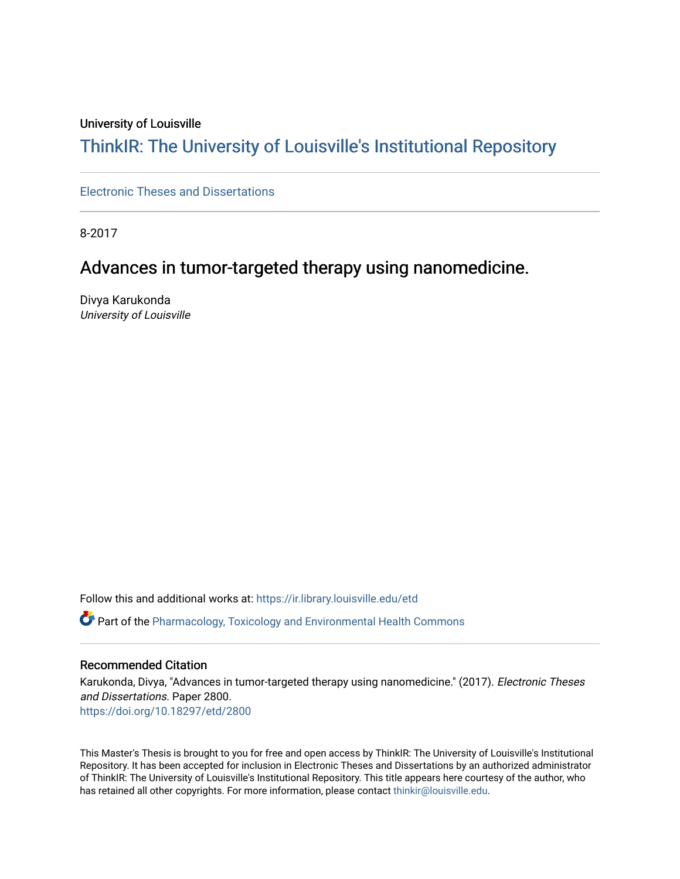#### University of Louisville

# ThinkIR: The Univ[ersity of Louisville's Institutional Reposit](https://ir.library.louisville.edu/)ory

[Electronic Theses and Dissertations](https://ir.library.louisville.edu/etd)

8-2017

# Advances in tumor-targeted therapy using nanomedicine.

Divya Karukonda University of Louisville

Follow this and additional works at: [https://ir.library.louisville.edu/etd](https://ir.library.louisville.edu/etd?utm_source=ir.library.louisville.edu%2Fetd%2F2800&utm_medium=PDF&utm_campaign=PDFCoverPages)  Part of the [Pharmacology, Toxicology and Environmental Health Commons](http://network.bepress.com/hgg/discipline/63?utm_source=ir.library.louisville.edu%2Fetd%2F2800&utm_medium=PDF&utm_campaign=PDFCoverPages) 

#### Recommended Citation

Karukonda, Divya, "Advances in tumor-targeted therapy using nanomedicine." (2017). Electronic Theses and Dissertations. Paper 2800. <https://doi.org/10.18297/etd/2800>

This Master's Thesis is brought to you for free and open access by ThinkIR: The University of Louisville's Institutional Repository. It has been accepted for inclusion in Electronic Theses and Dissertations by an authorized administrator of ThinkIR: The University of Louisville's Institutional Repository. This title appears here courtesy of the author, who has retained all other copyrights. For more information, please contact [thinkir@louisville.edu](mailto:thinkir@louisville.edu).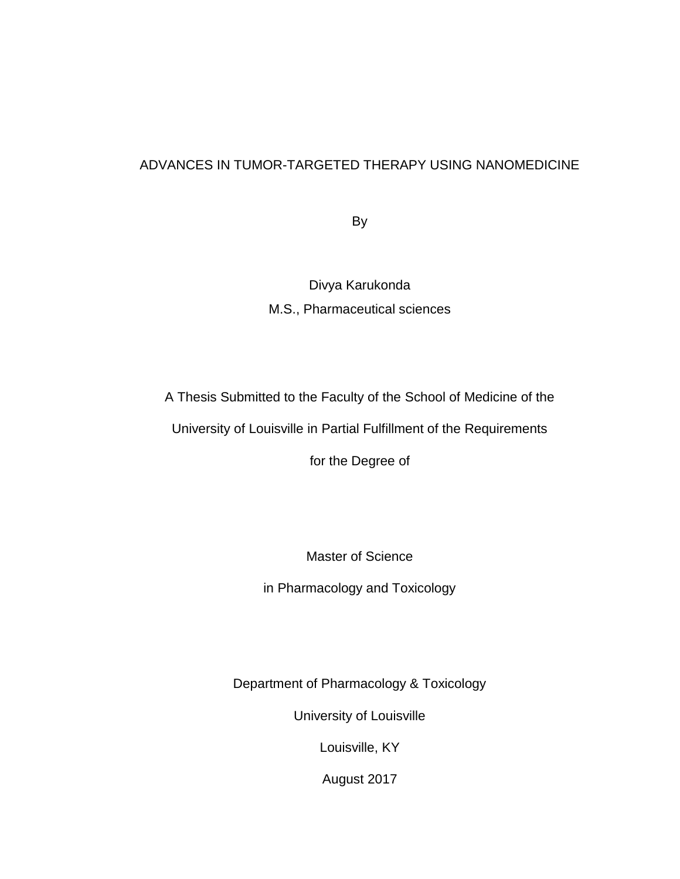# ADVANCES IN TUMOR-TARGETED THERAPY USING NANOMEDICINE

By

Divya Karukonda M.S., Pharmaceutical sciences

A Thesis Submitted to the Faculty of the School of Medicine of the

University of Louisville in Partial Fulfillment of the Requirements

for the Degree of

Master of Science

in Pharmacology and Toxicology

Department of Pharmacology & Toxicology

University of Louisville

Louisville, KY

August 2017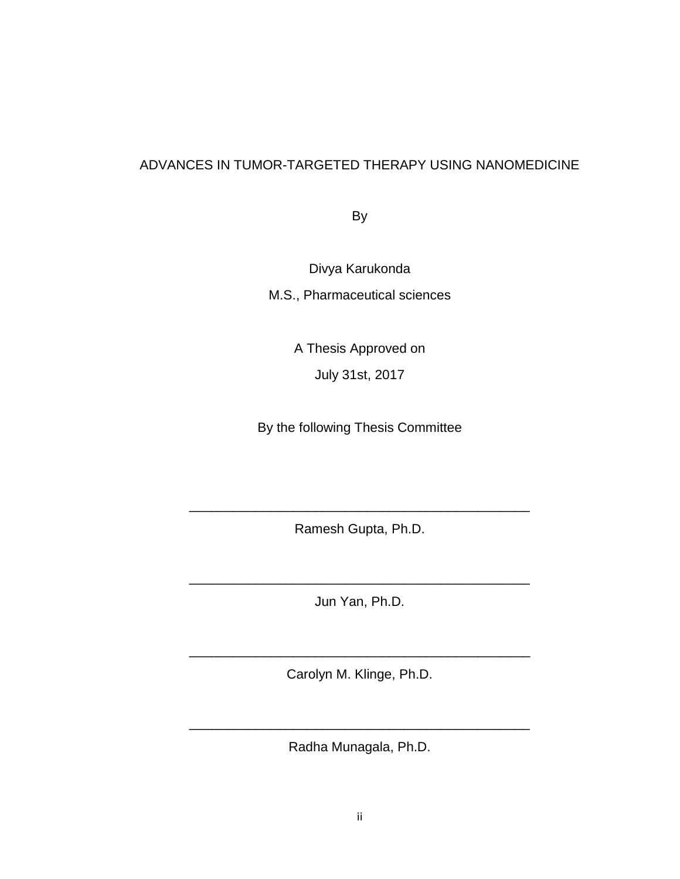# ADVANCES IN TUMOR-TARGETED THERAPY USING NANOMEDICINE

By

Divya Karukonda M.S., Pharmaceutical sciences

> A Thesis Approved on July 31st, 2017

By the following Thesis Committee

Ramesh Gupta, Ph.D.

\_\_\_\_\_\_\_\_\_\_\_\_\_\_\_\_\_\_\_\_\_\_\_\_\_\_\_\_\_\_\_\_\_\_\_\_\_\_\_\_\_\_\_\_\_\_

Jun Yan, Ph.D.

\_\_\_\_\_\_\_\_\_\_\_\_\_\_\_\_\_\_\_\_\_\_\_\_\_\_\_\_\_\_\_\_\_\_\_\_\_\_\_\_\_\_\_\_\_\_

Carolyn M. Klinge, Ph.D.

\_\_\_\_\_\_\_\_\_\_\_\_\_\_\_\_\_\_\_\_\_\_\_\_\_\_\_\_\_\_\_\_\_\_\_\_\_\_\_\_\_\_\_\_\_\_

Radha Munagala, Ph.D.

\_\_\_\_\_\_\_\_\_\_\_\_\_\_\_\_\_\_\_\_\_\_\_\_\_\_\_\_\_\_\_\_\_\_\_\_\_\_\_\_\_\_\_\_\_\_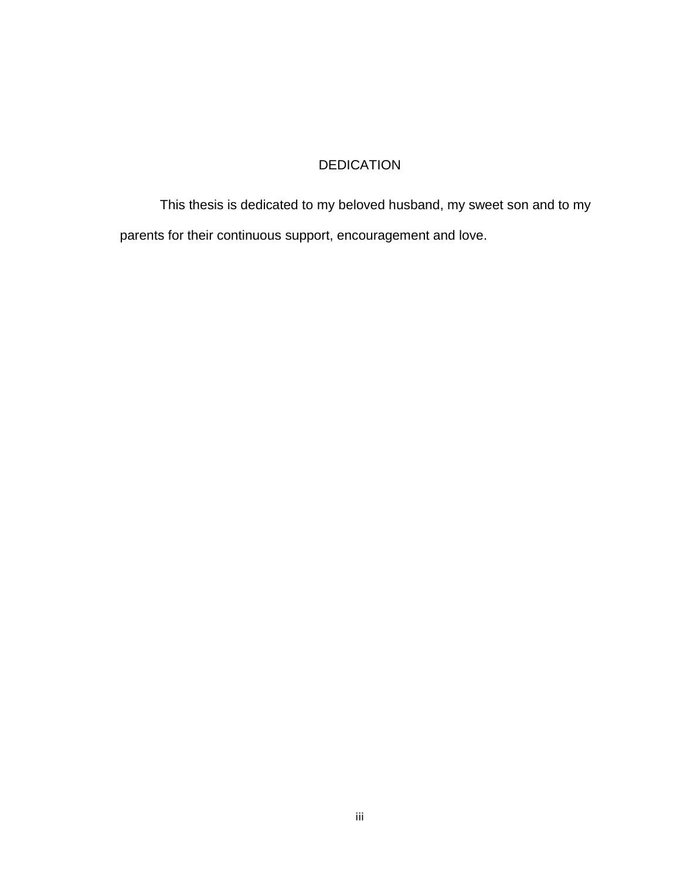# DEDICATION

This thesis is dedicated to my beloved husband, my sweet son and to my parents for their continuous support, encouragement and love.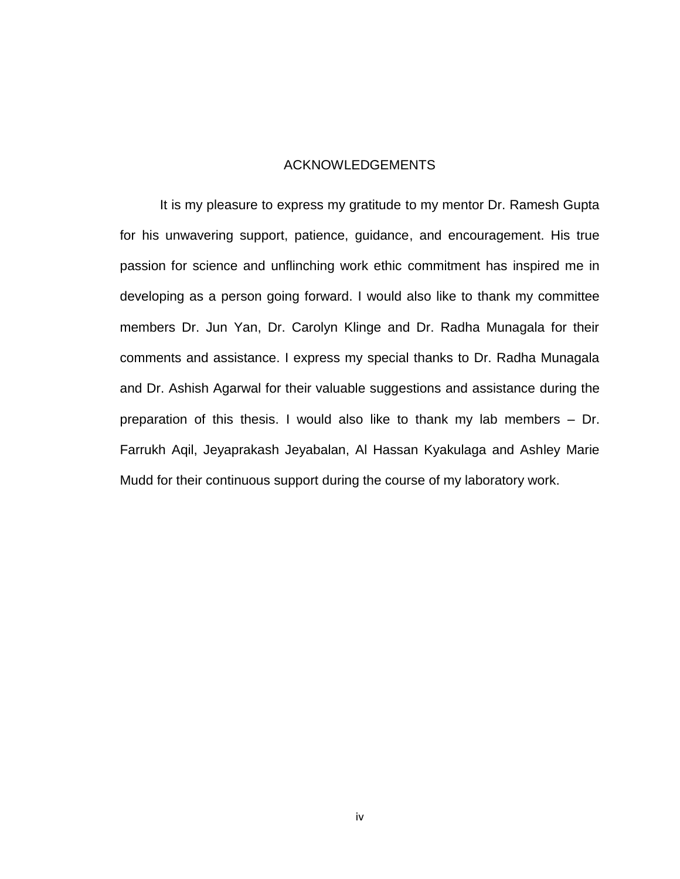#### ACKNOWLEDGEMENTS

It is my pleasure to express my gratitude to my mentor Dr. Ramesh Gupta for his unwavering support, patience, guidance, and encouragement. His true passion for science and unflinching work ethic commitment has inspired me in developing as a person going forward. I would also like to thank my committee members Dr. Jun Yan, Dr. Carolyn Klinge and Dr. Radha Munagala for their comments and assistance. I express my special thanks to Dr. Radha Munagala and Dr. Ashish Agarwal for their valuable suggestions and assistance during the preparation of this thesis. I would also like to thank my lab members – Dr. Farrukh Aqil, Jeyaprakash Jeyabalan, Al Hassan Kyakulaga and Ashley Marie Mudd for their continuous support during the course of my laboratory work.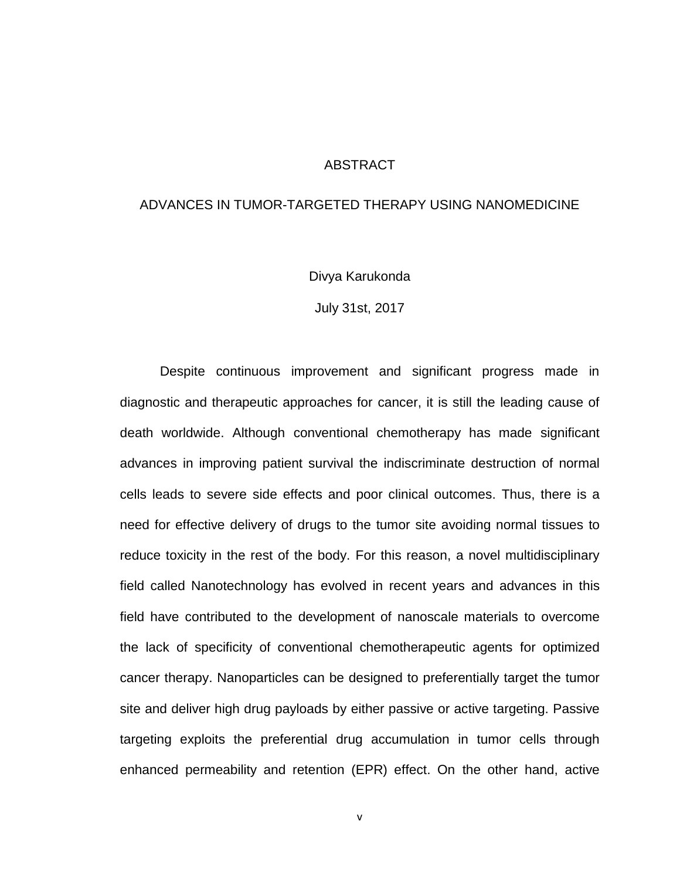#### **ABSTRACT**

#### ADVANCES IN TUMOR-TARGETED THERAPY USING NANOMEDICINE

Divya Karukonda

July 31st, 2017

Despite continuous improvement and significant progress made in diagnostic and therapeutic approaches for cancer, it is still the leading cause of death worldwide. Although conventional chemotherapy has made significant advances in improving patient survival the indiscriminate destruction of normal cells leads to severe side effects and poor clinical outcomes. Thus, there is a need for effective delivery of drugs to the tumor site avoiding normal tissues to reduce toxicity in the rest of the body. For this reason, a novel multidisciplinary field called Nanotechnology has evolved in recent years and advances in this field have contributed to the development of nanoscale materials to overcome the lack of specificity of conventional chemotherapeutic agents for optimized cancer therapy. Nanoparticles can be designed to preferentially target the tumor site and deliver high drug payloads by either passive or active targeting. Passive targeting exploits the preferential drug accumulation in tumor cells through enhanced permeability and retention (EPR) effect. On the other hand, active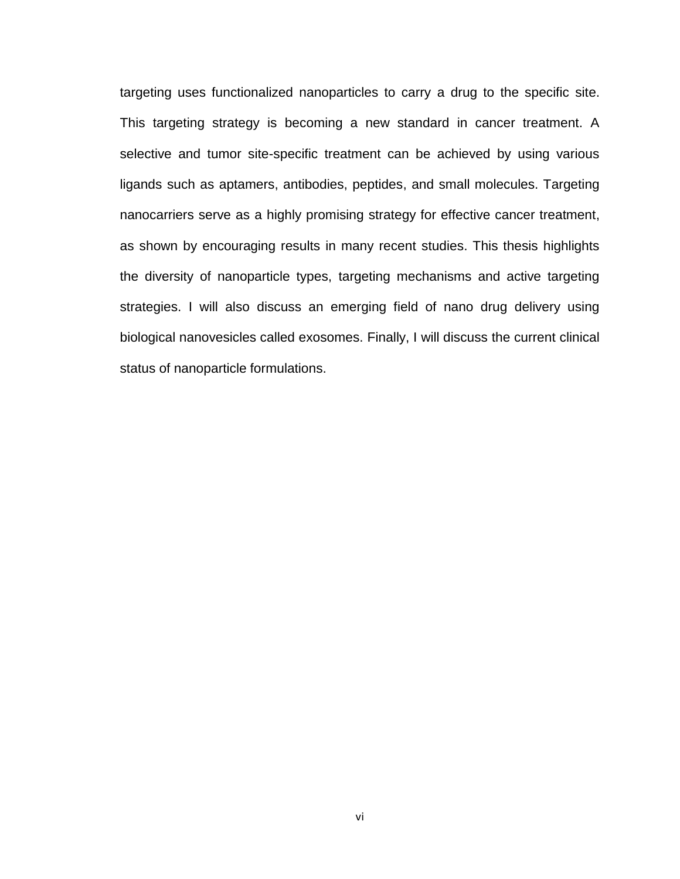targeting uses functionalized nanoparticles to carry a drug to the specific site. This targeting strategy is becoming a new standard in cancer treatment. A selective and tumor site-specific treatment can be achieved by using various ligands such as aptamers, antibodies, peptides, and small molecules. Targeting nanocarriers serve as a highly promising strategy for effective cancer treatment, as shown by encouraging results in many recent studies. This thesis highlights the diversity of nanoparticle types, targeting mechanisms and active targeting strategies. I will also discuss an emerging field of nano drug delivery using biological nanovesicles called exosomes. Finally, I will discuss the current clinical status of nanoparticle formulations.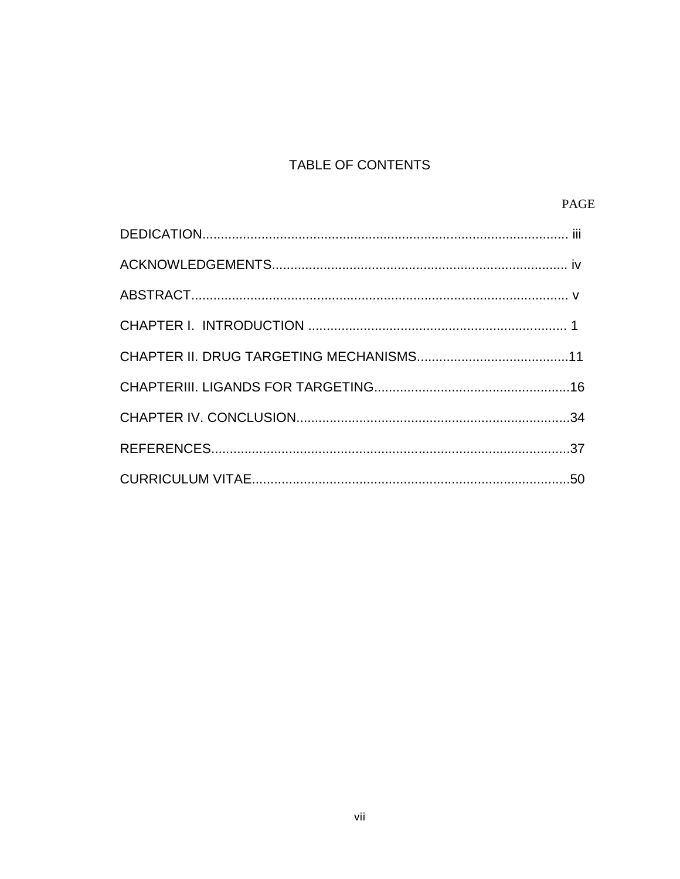# TABLE OF CONTENTS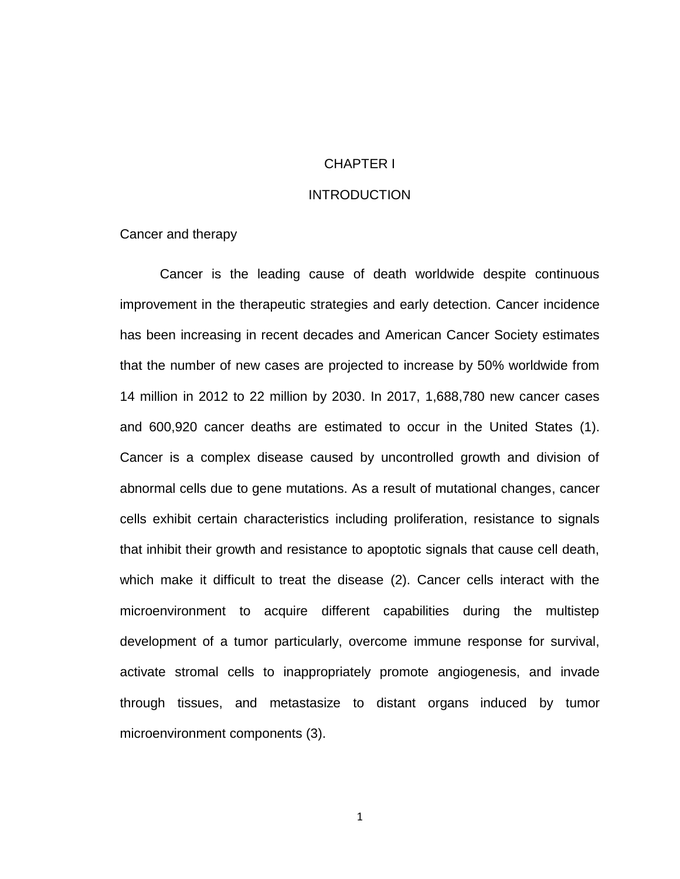### CHAPTER I

#### **INTRODUCTION**

#### Cancer and therapy

Cancer is the leading cause of death worldwide despite continuous improvement in the therapeutic strategies and early detection. Cancer incidence has been increasing in recent decades and American Cancer Society estimates that the number of new cases are projected to increase by 50% worldwide from 14 million in 2012 to 22 million by 2030. In 2017, 1,688,780 new cancer cases and 600,920 cancer deaths are estimated to occur in the United States [\(1\)](#page-45-0). Cancer is a complex disease caused by uncontrolled growth and division of abnormal cells due to gene mutations. As a result of mutational changes, cancer cells exhibit certain characteristics including proliferation, resistance to signals that inhibit their growth and resistance to apoptotic signals that cause cell death, which make it difficult to treat the disease [\(2\)](#page-45-1). Cancer cells interact with the microenvironment to acquire different capabilities during the multistep development of a tumor particularly, overcome immune response for survival, activate stromal cells to inappropriately promote angiogenesis, and invade through tissues, and metastasize to distant organs induced by tumor microenvironment components [\(3\)](#page-45-2).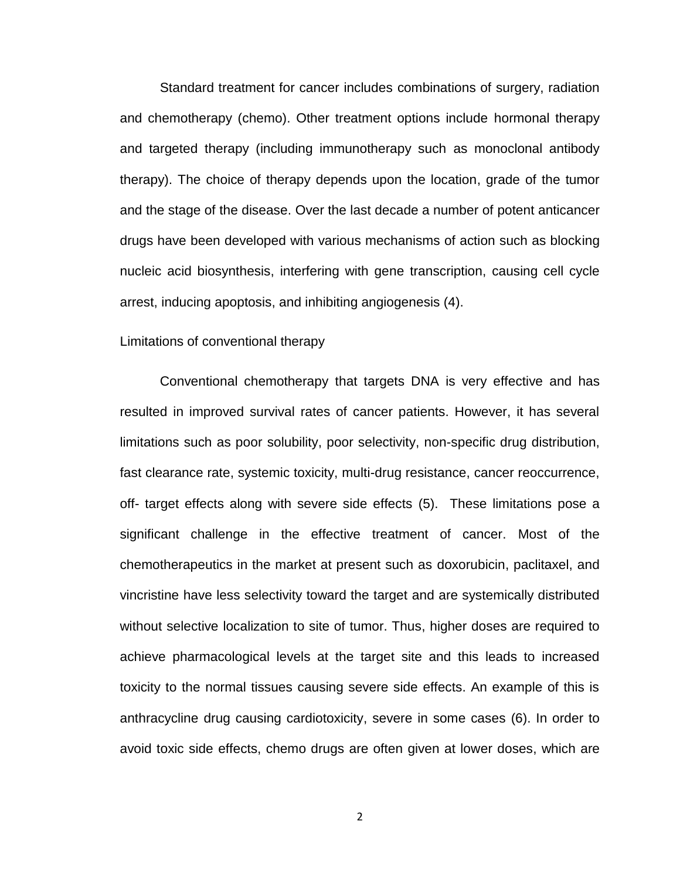Standard treatment for cancer includes combinations of surgery, radiation and chemotherapy (chemo). Other treatment options include hormonal therapy and targeted therapy (including immunotherapy such as monoclonal antibody therapy). The choice of therapy depends upon the location, grade of the tumor and the stage of the disease. Over the last decade a number of potent anticancer drugs have been developed with various mechanisms of action such as blocking nucleic acid biosynthesis, interfering with gene transcription, causing cell cycle arrest, inducing apoptosis, and inhibiting angiogenesis [\(4\)](#page-45-3).

#### Limitations of conventional therapy

Conventional chemotherapy that targets DNA is very effective and has resulted in improved survival rates of cancer patients. However, it has several limitations such as poor solubility, poor selectivity, non-specific drug distribution, fast clearance rate, systemic toxicity, multi-drug resistance, cancer reoccurrence, off- target effects along with severe side effects [\(5\)](#page-45-4). These limitations pose a significant challenge in the effective treatment of cancer. Most of the chemotherapeutics in the market at present such as doxorubicin, paclitaxel, and vincristine have less selectivity toward the target and are systemically distributed without selective localization to site of tumor. Thus, higher doses are required to achieve pharmacological levels at the target site and this leads to increased toxicity to the normal tissues causing severe side effects. An example of this is anthracycline drug causing cardiotoxicity, severe in some cases [\(6\)](#page-45-5). In order to avoid toxic side effects, chemo drugs are often given at lower doses, which are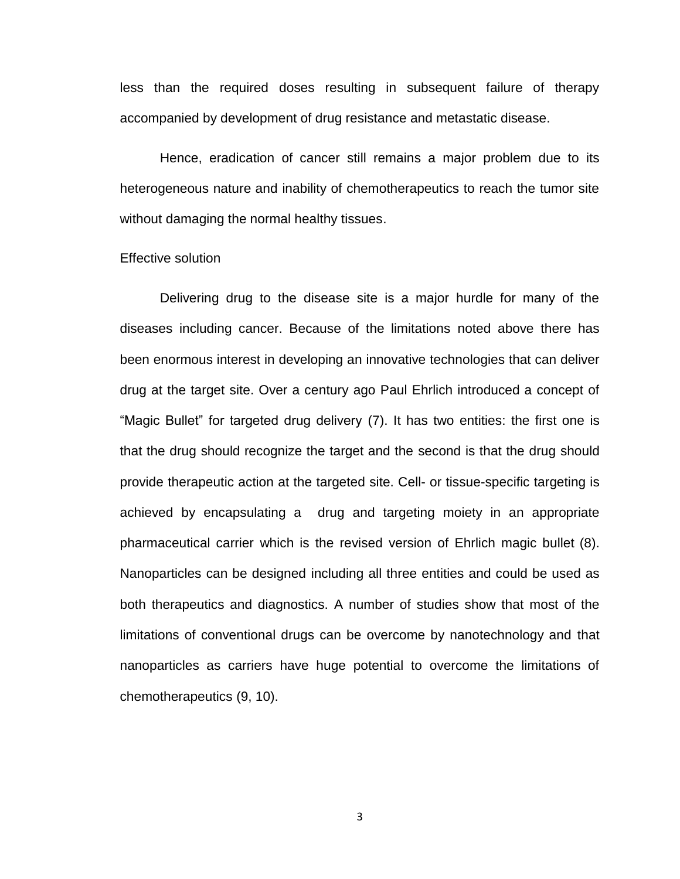less than the required doses resulting in subsequent failure of therapy accompanied by development of drug resistance and metastatic disease.

Hence, eradication of cancer still remains a major problem due to its heterogeneous nature and inability of chemotherapeutics to reach the tumor site without damaging the normal healthy tissues.

#### Effective solution

Delivering drug to the disease site is a major hurdle for many of the diseases including cancer. Because of the limitations noted above there has been enormous interest in developing an innovative technologies that can deliver drug at the target site. Over a century ago Paul Ehrlich introduced a concept of "Magic Bullet" for targeted drug delivery [\(7\)](#page-45-6). It has two entities: the first one is that the drug should recognize the target and the second is that the drug should provide therapeutic action at the targeted site. Cell- or tissue-specific targeting is achieved by encapsulating a drug and targeting moiety in an appropriate pharmaceutical carrier which is the revised version of Ehrlich magic bullet [\(8\)](#page-45-7). Nanoparticles can be designed including all three entities and could be used as both therapeutics and diagnostics. A number of studies show that most of the limitations of conventional drugs can be overcome by nanotechnology and that nanoparticles as carriers have huge potential to overcome the limitations of chemotherapeutics [\(9,](#page-45-8) [10\)](#page-45-9).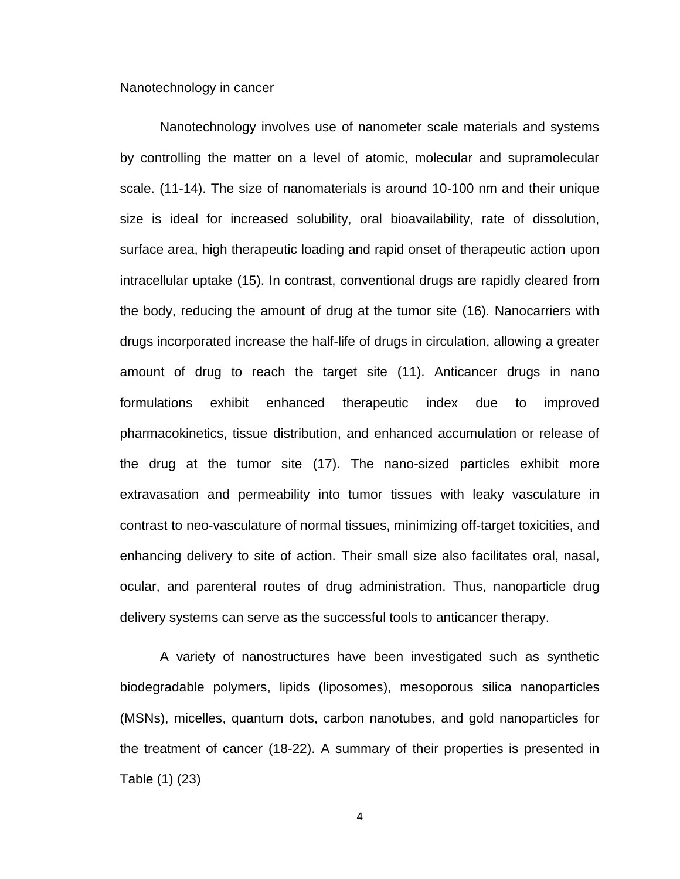#### Nanotechnology in cancer

Nanotechnology involves use of nanometer scale materials and systems by controlling the matter on a level of atomic, molecular and supramolecular scale. [\(11-14\)](#page-46-0). The size of nanomaterials is around 10-100 nm and their unique size is ideal for increased solubility, oral bioavailability, rate of dissolution, surface area, high therapeutic loading and rapid onset of therapeutic action upon intracellular uptake [\(15\)](#page-46-1). In contrast, conventional drugs are rapidly cleared from the body, reducing the amount of drug at the tumor site [\(16\)](#page-46-2). Nanocarriers with drugs incorporated increase the half-life of drugs in circulation, allowing a greater amount of drug to reach the target site [\(11\)](#page-46-0). Anticancer drugs in nano formulations exhibit enhanced therapeutic index due to improved pharmacokinetics, tissue distribution, and enhanced accumulation or release of the drug at the tumor site [\(17\)](#page-46-3). The nano-sized particles exhibit more extravasation and permeability into tumor tissues with leaky vasculature in contrast to neo-vasculature of normal tissues, minimizing off-target toxicities, and enhancing delivery to site of action. Their small size also facilitates oral, nasal, ocular, and parenteral routes of drug administration. Thus, nanoparticle drug delivery systems can serve as the successful tools to anticancer therapy.

A variety of nanostructures have been investigated such as synthetic biodegradable polymers, lipids (liposomes), mesoporous silica nanoparticles (MSNs), micelles, quantum dots, carbon nanotubes, and gold nanoparticles for the treatment of cancer [\(18-22\)](#page-46-4). A summary of their properties is presented in Table (1) [\(23\)](#page-47-0)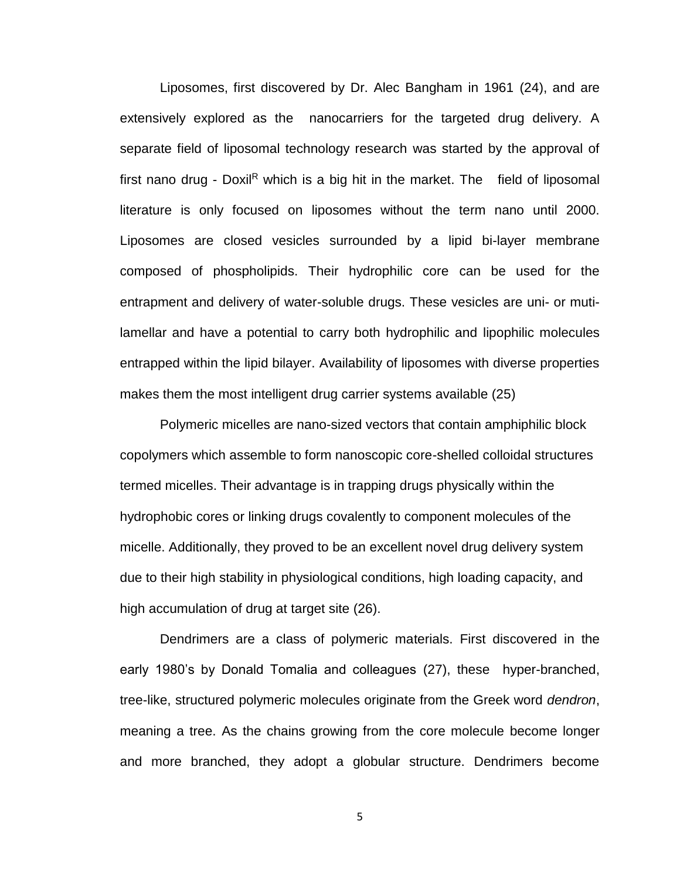Liposomes, first discovered by Dr. Alec Bangham in 1961 [\(24\)](#page-47-1), and are extensively explored as the nanocarriers for the targeted drug delivery. A separate field of liposomal technology research was started by the approval of first nano drug - Doxil<sup>R</sup> which is a big hit in the market. The field of liposomal literature is only focused on liposomes without the term nano until 2000. Liposomes are closed vesicles surrounded by a lipid bi-layer membrane composed of phospholipids. Their hydrophilic core can be used for the entrapment and delivery of water-soluble drugs. These vesicles are uni- or mutilamellar and have a potential to carry both hydrophilic and lipophilic molecules entrapped within the lipid bilayer. Availability of liposomes with diverse properties makes them the most intelligent drug carrier systems available [\(25\)](#page-47-2)

Polymeric micelles are nano-sized vectors that contain amphiphilic block copolymers which assemble to form nanoscopic core-shelled colloidal structures termed micelles. Their advantage is in trapping drugs physically within the hydrophobic cores or linking drugs covalently to component molecules of the micelle. Additionally, they proved to be an excellent novel drug delivery system due to their high stability in physiological conditions, high loading capacity, and high accumulation of drug at target site [\(26\)](#page-47-3).

Dendrimers are a class of polymeric materials. First discovered in the early 1980's by Donald Tomalia and colleagues [\(27\)](#page-47-4), these hyper-branched, tree-like, structured polymeric molecules originate from the Greek word *dendron*, meaning a tree. As the chains growing from the core molecule become longer and more branched, they adopt a globular structure. Dendrimers become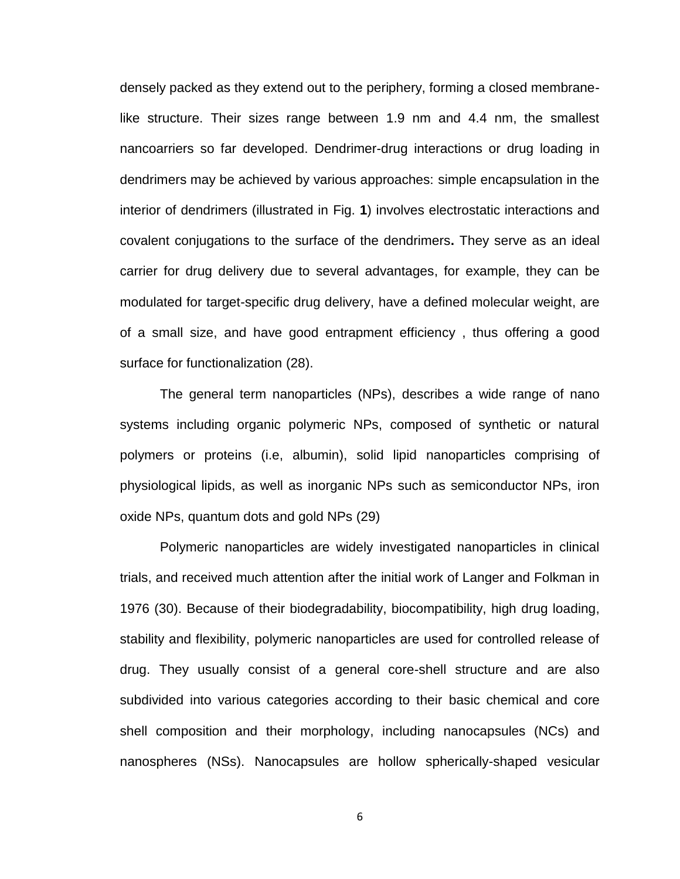densely packed as they extend out to the periphery, forming a closed membranelike structure. Their sizes range between 1.9 nm and 4.4 nm, the smallest nancoarriers so far developed. Dendrimer-drug interactions or drug loading in dendrimers may be achieved by various approaches: simple encapsulation in the interior of dendrimers (illustrated in Fig. **1**) involves electrostatic interactions and covalent conjugations to the surface of the dendrimers**.** They serve as an ideal carrier for drug delivery due to several advantages, for example, they can be modulated for target-specific drug delivery, have a defined molecular weight, are of a small size, and have good entrapment efficiency , thus offering a good surface for functionalization [\(28\)](#page-47-5).

The general term nanoparticles (NPs), describes a wide range of nano systems including organic polymeric NPs, composed of synthetic or natural polymers or proteins (i.e, albumin), solid lipid nanoparticles comprising of physiological lipids, as well as inorganic NPs such as semiconductor NPs, iron oxide NPs, quantum dots and gold NPs [\(29\)](#page-47-6)

Polymeric nanoparticles are widely investigated nanoparticles in clinical trials, and received much attention after the initial work of Langer and Folkman in 1976 [\(30\)](#page-47-7). Because of their biodegradability, biocompatibility, high drug loading, stability and flexibility, polymeric nanoparticles are used for controlled release of drug. They usually consist of a general core-shell structure and are also subdivided into various categories according to their basic chemical and core shell composition and their morphology, including nanocapsules (NCs) and nanospheres (NSs). Nanocapsules are hollow spherically-shaped vesicular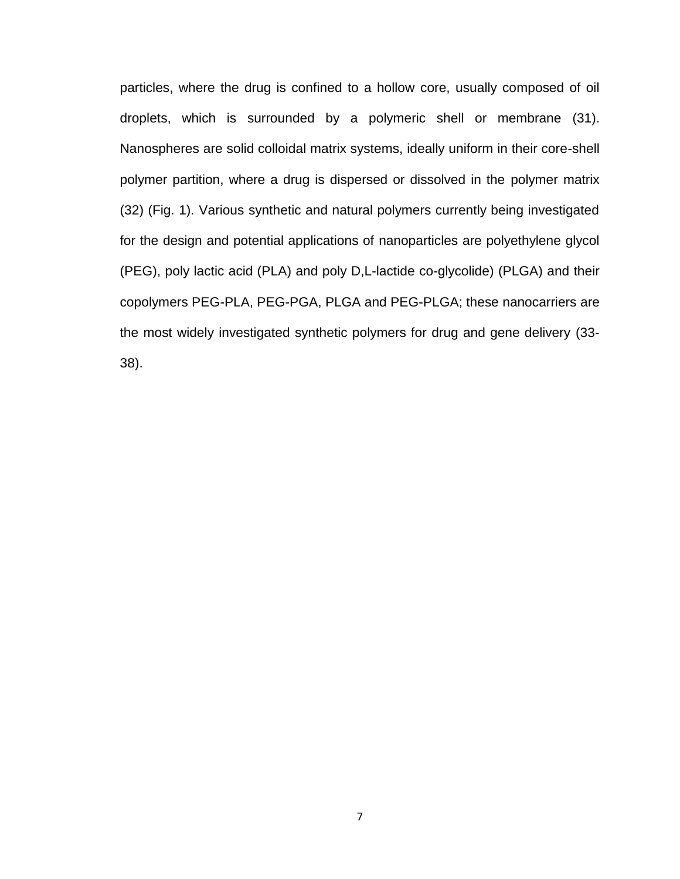particles, where the drug is confined to a hollow core, usually composed of oil droplets, which is surrounded by a polymeric shell or membrane [\(31\)](#page-47-8). Nanospheres are solid colloidal matrix systems, ideally uniform in their core-shell polymer partition, where a drug is dispersed or dissolved in the polymer matrix [\(32\)](#page-47-9) (Fig. 1). Various synthetic and natural polymers currently being investigated for the design and potential applications of nanoparticles are polyethylene glycol (PEG), poly lactic acid (PLA) and poly D,L-lactide co-glycolide) (PLGA) and their copolymers PEG-PLA, PEG-PGA, PLGA and PEG-PLGA; these nanocarriers are the most widely investigated synthetic polymers for drug and gene delivery [\(33-](#page-47-10) [38\)](#page-47-10).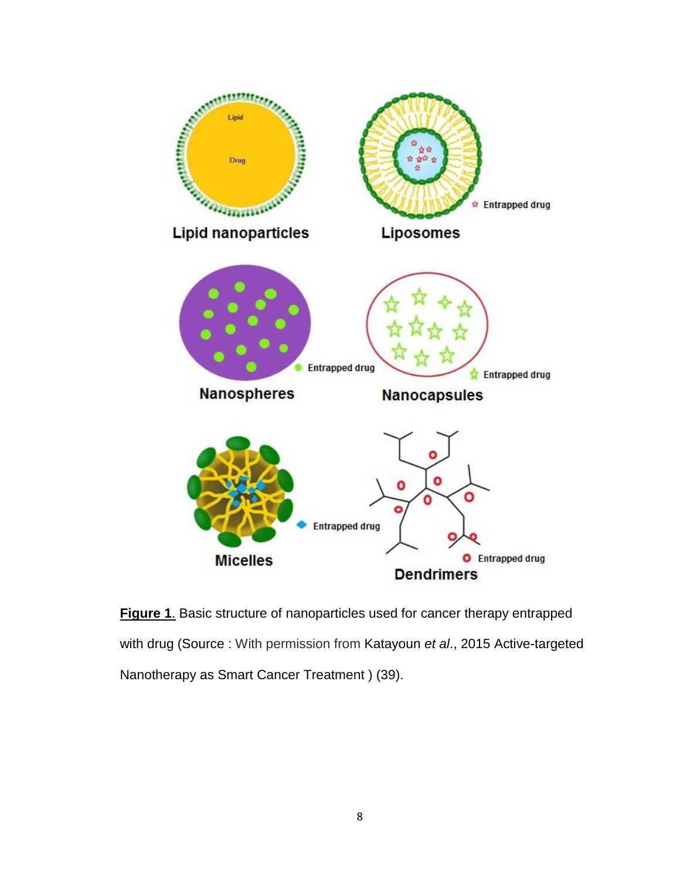

**Figure 1**. Basic structure of nanoparticles used for cancer therapy entrapped with drug (Source : With permission from Katayoun *et al*., 2015 Active-targeted Nanotherapy as Smart Cancer Treatment ) [\(39\)](#page-48-0).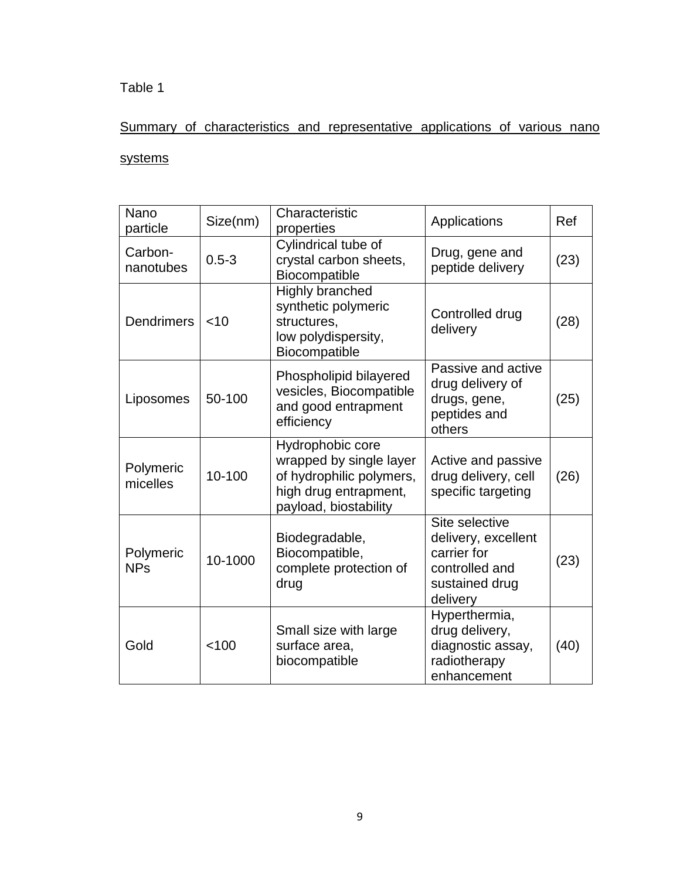# Table 1

# Summary of characteristics and representative applications of various nano

# systems

| Nano<br>particle        | Size(nm)  | Characteristic<br>properties                                                                                              | Applications                                                                                         | Ref  |
|-------------------------|-----------|---------------------------------------------------------------------------------------------------------------------------|------------------------------------------------------------------------------------------------------|------|
| Carbon-<br>nanotubes    | $0.5 - 3$ | Cylindrical tube of<br>crystal carbon sheets,<br>Biocompatible                                                            | Drug, gene and<br>peptide delivery                                                                   | (23) |
| <b>Dendrimers</b>       | $<$ 10    | <b>Highly branched</b><br>synthetic polymeric<br>structures,<br>low polydispersity,<br>Biocompatible                      | Controlled drug<br>delivery                                                                          | (28) |
| Liposomes               | 50-100    | Phospholipid bilayered<br>vesicles, Biocompatible<br>and good entrapment<br>efficiency                                    | Passive and active<br>drug delivery of<br>drugs, gene,<br>peptides and<br>others                     | (25) |
| Polymeric<br>micelles   | 10-100    | Hydrophobic core<br>wrapped by single layer<br>of hydrophilic polymers,<br>high drug entrapment,<br>payload, biostability | Active and passive<br>drug delivery, cell<br>specific targeting                                      | (26) |
| Polymeric<br><b>NPs</b> | 10-1000   | Biodegradable,<br>Biocompatible,<br>complete protection of<br>drug                                                        | Site selective<br>delivery, excellent<br>carrier for<br>controlled and<br>sustained drug<br>delivery | (23) |
| Gold                    | < 100     | Small size with large<br>surface area,<br>biocompatible                                                                   | Hyperthermia,<br>drug delivery,<br>diagnostic assay,<br>radiotherapy<br>enhancement                  | (40) |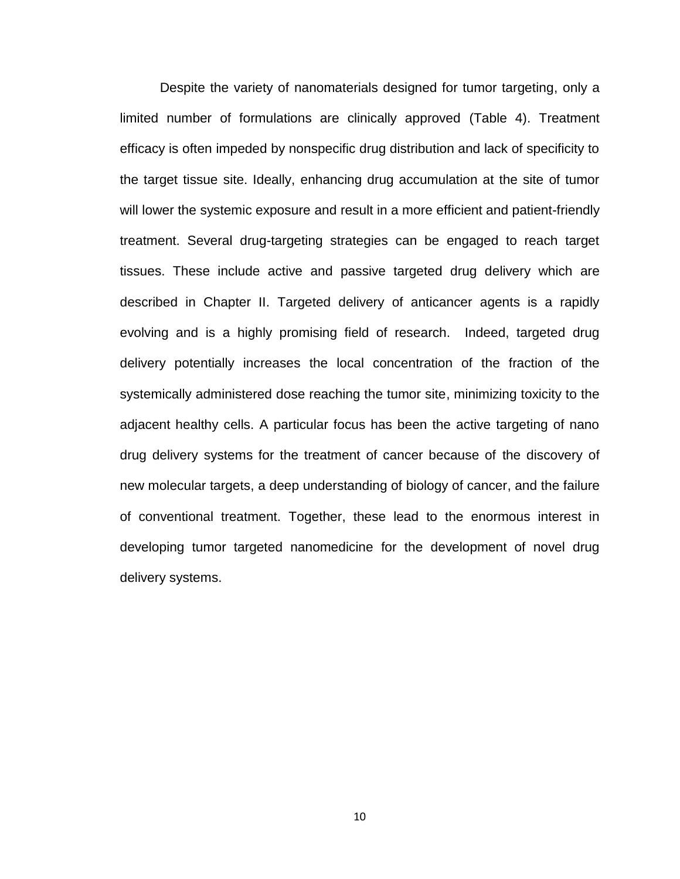Despite the variety of nanomaterials designed for tumor targeting, only a limited number of formulations are clinically approved (Table 4). Treatment efficacy is often impeded by nonspecific drug distribution and lack of specificity to the target tissue site. Ideally, enhancing drug accumulation at the site of tumor will lower the systemic exposure and result in a more efficient and patient-friendly treatment. Several drug-targeting strategies can be engaged to reach target tissues. These include active and passive targeted drug delivery which are described in Chapter II. Targeted delivery of anticancer agents is a rapidly evolving and is a highly promising field of research. Indeed, targeted drug delivery potentially increases the local concentration of the fraction of the systemically administered dose reaching the tumor site, minimizing toxicity to the adjacent healthy cells. A particular focus has been the active targeting of nano drug delivery systems for the treatment of cancer because of the discovery of new molecular targets, a deep understanding of biology of cancer, and the failure of conventional treatment. Together, these lead to the enormous interest in developing tumor targeted nanomedicine for the development of novel drug delivery systems.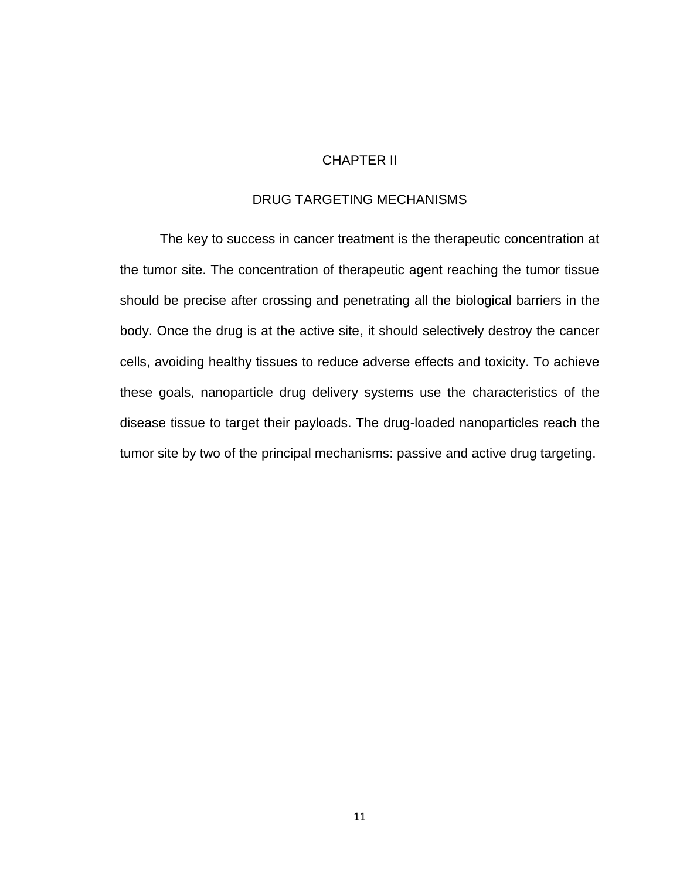# CHAPTER II

## DRUG TARGETING MECHANISMS

The key to success in cancer treatment is the therapeutic concentration at the tumor site. The concentration of therapeutic agent reaching the tumor tissue should be precise after crossing and penetrating all the biological barriers in the body. Once the drug is at the active site, it should selectively destroy the cancer cells, avoiding healthy tissues to reduce adverse effects and toxicity. To achieve these goals, nanoparticle drug delivery systems use the characteristics of the disease tissue to target their payloads. The drug-loaded nanoparticles reach the tumor site by two of the principal mechanisms: passive and active drug targeting.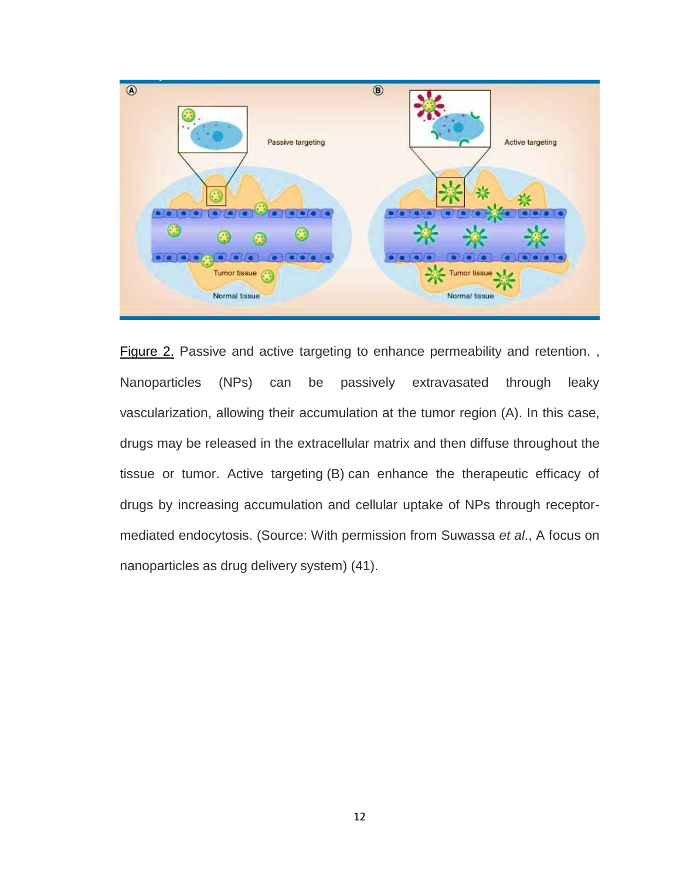

Figure 2. Passive and active targeting to enhance permeability and retention., Nanoparticles (NPs) can be passively extravasated through leaky vascularization, allowing their accumulation at the tumor region (A). In this case, drugs may be released in the extracellular matrix and then diffuse throughout the tissue or tumor. Active targeting (B) can enhance the therapeutic efficacy of drugs by increasing accumulation and cellular uptake of NPs through receptormediated endocytosis. (Source: With permission from Suwassa *et al*., A focus on nanoparticles as drug delivery system) [\(41\)](#page-48-2).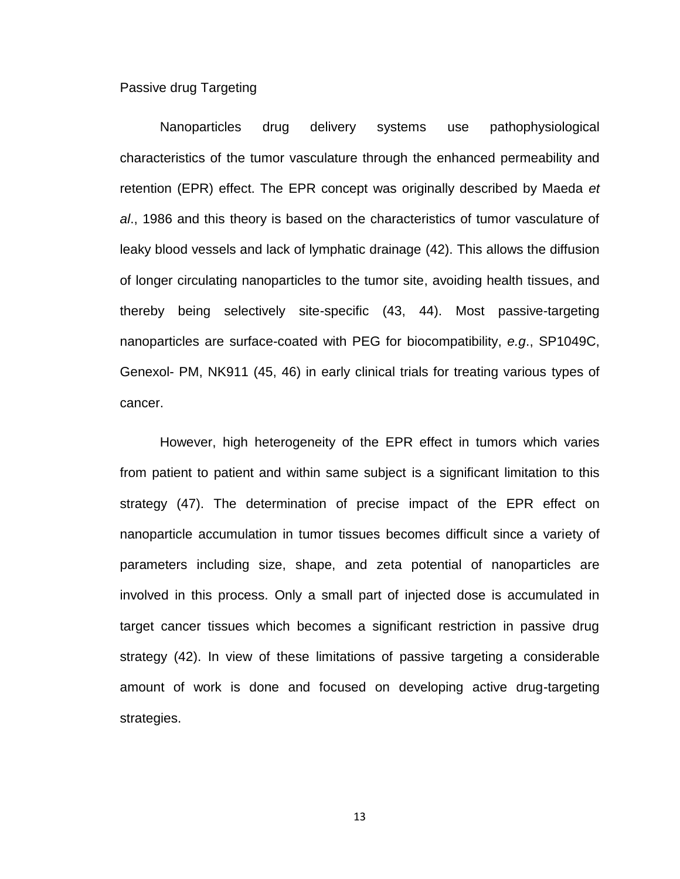#### Passive drug Targeting

Nanoparticles drug delivery systems use pathophysiological characteristics of the tumor vasculature through the enhanced permeability and retention (EPR) effect. The EPR concept was originally described by Maeda *et al*., 1986 and this theory is based on the characteristics of tumor vasculature of leaky blood vessels and lack of lymphatic drainage [\(42\)](#page-48-3). This allows the diffusion of longer circulating nanoparticles to the tumor site, avoiding health tissues, and thereby being selectively site-specific [\(43,](#page-48-4) [44\)](#page-48-5). Most passive-targeting nanoparticles are surface-coated with PEG for biocompatibility, *e.g*., SP1049C, Genexol- PM, NK911 [\(45,](#page-48-6) [46\)](#page-48-7) in early clinical trials for treating various types of cancer.

However, high heterogeneity of the EPR effect in tumors which varies from patient to patient and within same subject is a significant limitation to this strategy [\(47\)](#page-48-8). The determination of precise impact of the EPR effect on nanoparticle accumulation in tumor tissues becomes difficult since a variety of parameters including size, shape, and zeta potential of nanoparticles are involved in this process. Only a small part of injected dose is accumulated in target cancer tissues which becomes a significant restriction in passive drug strategy [\(42\)](#page-48-3). In view of these limitations of passive targeting a considerable amount of work is done and focused on developing active drug-targeting strategies.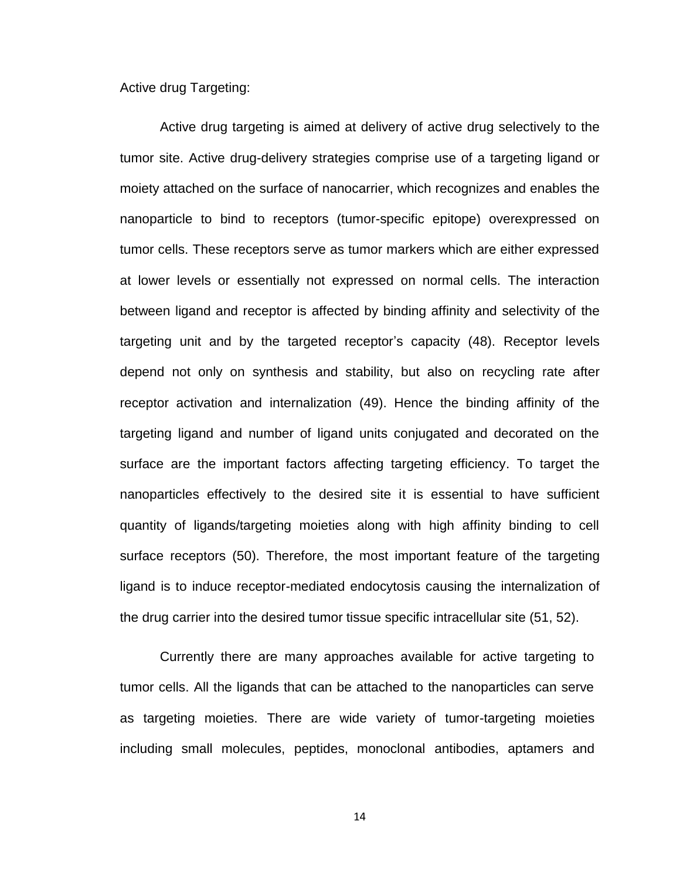Active drug Targeting:

Active drug targeting is aimed at delivery of active drug selectively to the tumor site. Active drug-delivery strategies comprise use of a targeting ligand or moiety attached on the surface of nanocarrier, which recognizes and enables the nanoparticle to bind to receptors (tumor-specific epitope) overexpressed on tumor cells. These receptors serve as tumor markers which are either expressed at lower levels or essentially not expressed on normal cells. The interaction between ligand and receptor is affected by binding affinity and selectivity of the targeting unit and by the targeted receptor's capacity [\(48\)](#page-48-9). Receptor levels depend not only on synthesis and stability, but also on recycling rate after receptor activation and internalization [\(49\)](#page-49-0). Hence the binding affinity of the targeting ligand and number of ligand units conjugated and decorated on the surface are the important factors affecting targeting efficiency. To target the nanoparticles effectively to the desired site it is essential to have sufficient quantity of ligands/targeting moieties along with high affinity binding to cell surface receptors [\(50\)](#page-49-1). Therefore, the most important feature of the targeting ligand is to induce receptor-mediated endocytosis causing the internalization of the drug carrier into the desired tumor tissue specific intracellular site [\(51,](#page-49-2) [52\)](#page-49-3).

Currently there are many approaches available for active targeting to tumor cells. All the ligands that can be attached to the nanoparticles can serve as targeting moieties. There are wide variety of tumor-targeting moieties including small molecules, peptides, monoclonal antibodies, aptamers and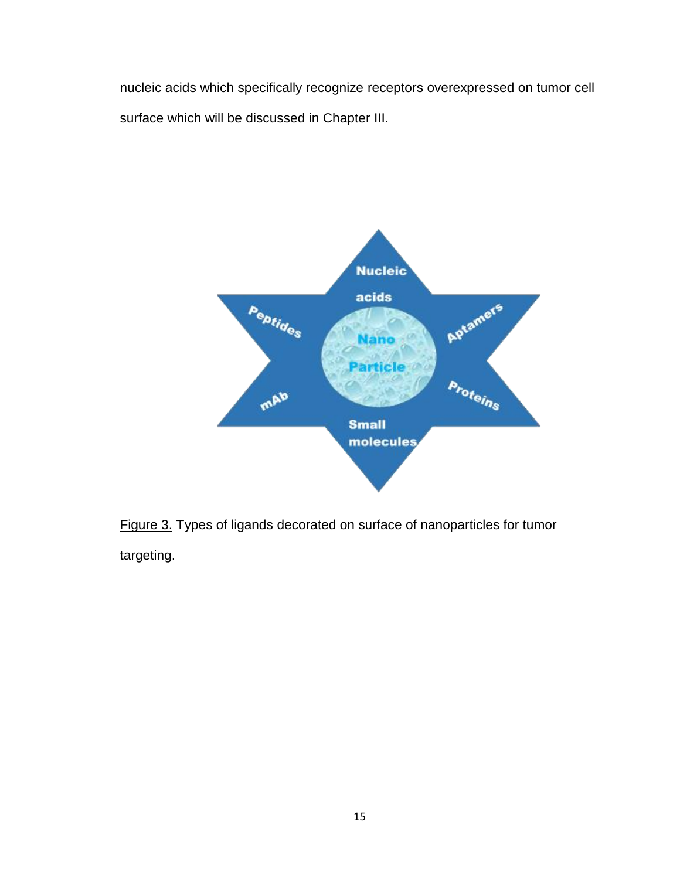nucleic acids which specifically recognize receptors overexpressed on tumor cell surface which will be discussed in Chapter III.



Figure 3. Types of ligands decorated on surface of nanoparticles for tumor targeting.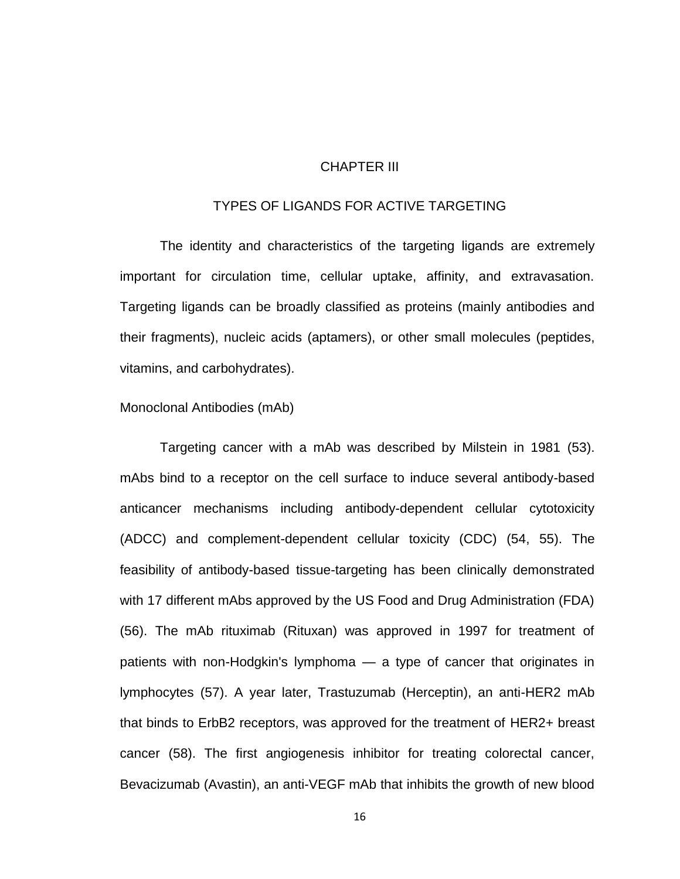#### CHAPTER III

#### TYPES OF LIGANDS FOR ACTIVE TARGETING

The identity and characteristics of the targeting ligands are extremely important for circulation time, cellular uptake, affinity, and extravasation. Targeting ligands can be broadly classified as proteins (mainly antibodies and their fragments), nucleic acids (aptamers), or other small molecules (peptides, vitamins, and carbohydrates).

#### Monoclonal Antibodies (mAb)

Targeting cancer with a mAb was described by Milstein in 1981 [\(53\)](#page-49-4). mAbs bind to a receptor on the cell surface to induce several antibody-based anticancer mechanisms including antibody-dependent cellular cytotoxicity (ADCC) and complement-dependent cellular toxicity (CDC) [\(54,](#page-49-5) [55\)](#page-49-6). The feasibility of antibody-based tissue-targeting has been clinically demonstrated with 17 different mAbs approved by the US Food and Drug Administration (FDA) [\(56\)](#page-49-7). The mAb rituximab (Rituxan) was approved in 1997 for treatment of patients with non-Hodgkin's lymphoma — a type of cancer that originates in lymphocytes [\(57\)](#page-49-8). A year later, Trastuzumab (Herceptin), an anti-HER2 mAb that binds to ErbB2 receptors, was approved for the treatment of HER2+ breast cancer [\(58\)](#page-49-9). The first angiogenesis inhibitor for treating colorectal cancer, Bevacizumab (Avastin), an anti-VEGF mAb that inhibits the growth of new blood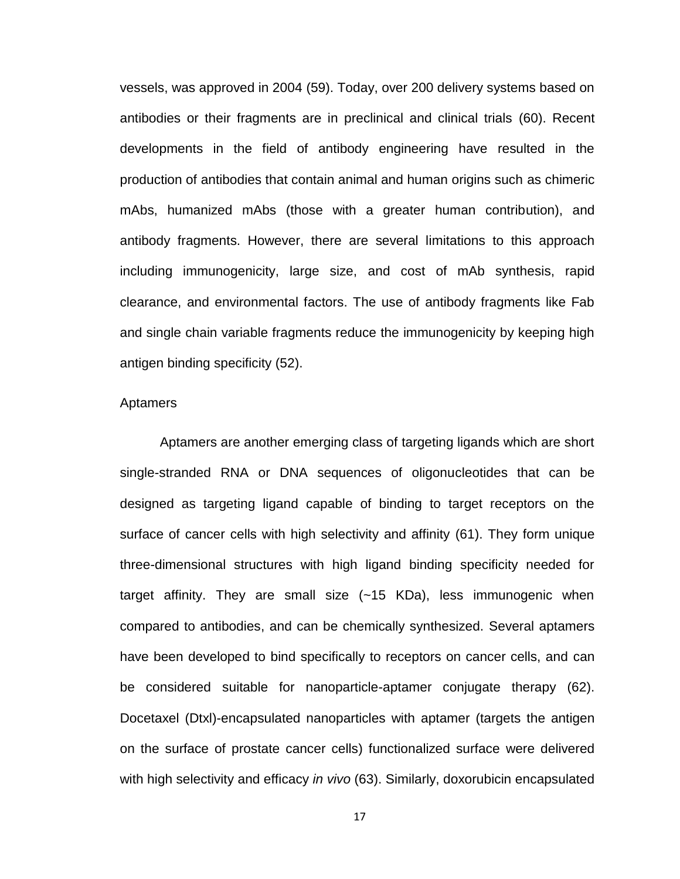vessels, was approved in 2004 [\(59\)](#page-49-10). Today, over 200 delivery systems based on antibodies or their fragments are in preclinical and clinical trials [\(60\)](#page-49-11). Recent developments in the field of antibody engineering have resulted in the production of antibodies that contain animal and human origins such as chimeric mAbs, humanized mAbs (those with a greater human contribution), and antibody fragments. However, there are several limitations to this approach including immunogenicity, large size, and cost of mAb synthesis, rapid clearance, and environmental factors. The use of antibody fragments like Fab and single chain variable fragments reduce the immunogenicity by keeping high antigen binding specificity [\(52\)](#page-49-3).

#### Aptamers

Aptamers are another emerging class of targeting ligands which are short single-stranded RNA or DNA sequences of oligonucleotides that can be designed as targeting ligand capable of binding to target receptors on the surface of cancer cells with high selectivity and affinity [\(61\)](#page-49-12). They form unique three-dimensional structures with high ligand binding specificity needed for target affinity. They are small size (~15 KDa), less immunogenic when compared to antibodies, and can be chemically synthesized. Several aptamers have been developed to bind specifically to receptors on cancer cells, and can be considered suitable for nanoparticle-aptamer conjugate therapy [\(62\)](#page-49-13). Docetaxel (Dtxl)-encapsulated nanoparticles with aptamer (targets the antigen on the surface of prostate cancer cells) functionalized surface were delivered with high selectivity and efficacy *in vivo* [\(63\)](#page-50-0). Similarly, doxorubicin encapsulated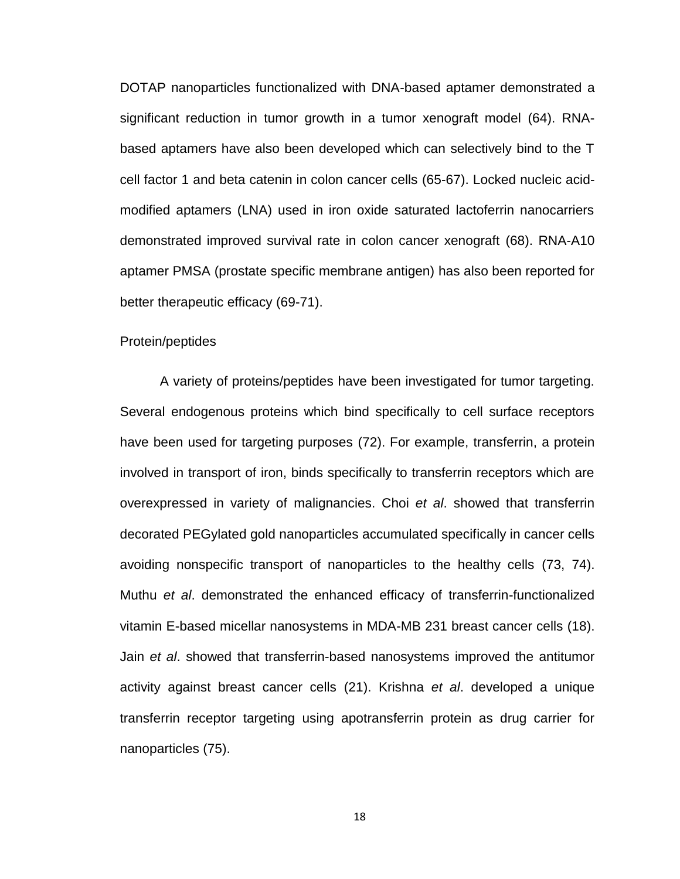DOTAP nanoparticles functionalized with DNA-based aptamer demonstrated a significant reduction in tumor growth in a tumor xenograft model [\(64\)](#page-50-1). RNAbased aptamers have also been developed which can selectively bind to the T cell factor 1 and beta catenin in colon cancer cells [\(65-67\)](#page-50-2). Locked nucleic acidmodified aptamers (LNA) used in iron oxide saturated lactoferrin nanocarriers demonstrated improved survival rate in colon cancer xenograft [\(68\)](#page-50-3). RNA-A10 aptamer PMSA (prostate specific membrane antigen) has also been reported for better therapeutic efficacy [\(69-71\)](#page-50-4).

#### Protein/peptides

A variety of proteins/peptides have been investigated for tumor targeting. Several endogenous proteins which bind specifically to cell surface receptors have been used for targeting purposes [\(72\)](#page-50-5). For example, transferrin, a protein involved in transport of iron, binds specifically to transferrin receptors which are overexpressed in variety of malignancies. Choi *et al*. showed that transferrin decorated PEGylated gold nanoparticles accumulated specifically in cancer cells avoiding nonspecific transport of nanoparticles to the healthy cells [\(73,](#page-50-6) [74\)](#page-50-7). Muthu *et al*. demonstrated the enhanced efficacy of transferrin-functionalized vitamin E-based micellar nanosystems in MDA-MB 231 breast cancer cells [\(18\)](#page-46-4). Jain *et al*. showed that transferrin-based nanosystems improved the antitumor activity against breast cancer cells [\(21\)](#page-46-5). Krishna *et al*. developed a unique transferrin receptor targeting using apotransferrin protein as drug carrier for nanoparticles [\(75\)](#page-50-8).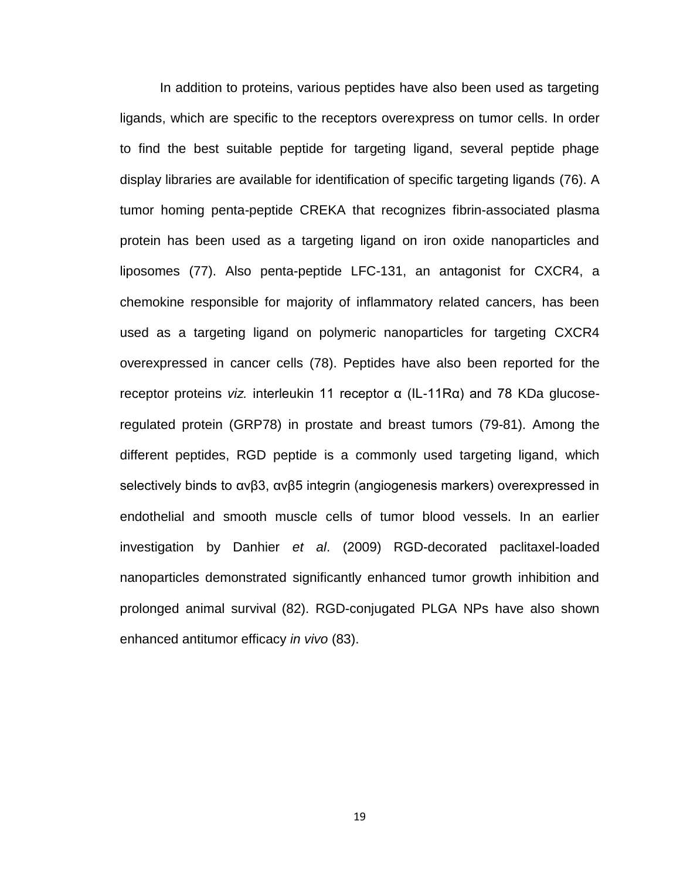In addition to proteins, various peptides have also been used as targeting ligands, which are specific to the receptors overexpress on tumor cells. In order to find the best suitable peptide for targeting ligand, several peptide phage display libraries are available for identification of specific targeting ligands [\(76\)](#page-51-0). A tumor homing penta-peptide CREKA that recognizes fibrin-associated plasma protein has been used as a targeting ligand on iron oxide nanoparticles and liposomes [\(77\)](#page-51-1). Also penta-peptide LFC-131, an antagonist for CXCR4, a chemokine responsible for majority of inflammatory related cancers, has been used as a targeting ligand on polymeric nanoparticles for targeting CXCR4 overexpressed in cancer cells [\(78\)](#page-51-2). Peptides have also been reported for the receptor proteins *viz.* interleukin 11 receptor α (IL-11Rα) and 78 KDa glucoseregulated protein (GRP78) in prostate and breast tumors [\(79-81\)](#page-51-3). Among the different peptides, RGD peptide is a commonly used targeting ligand, which selectively binds to αvβ3, αvβ5 integrin (angiogenesis markers) overexpressed in endothelial and smooth muscle cells of tumor blood vessels. In an earlier investigation by Danhier *et al*. (2009) RGD-decorated paclitaxel-loaded nanoparticles demonstrated significantly enhanced tumor growth inhibition and prolonged animal survival [\(82\)](#page-51-4). RGD-conjugated PLGA NPs have also shown enhanced antitumor efficacy *in vivo* [\(83\)](#page-51-5).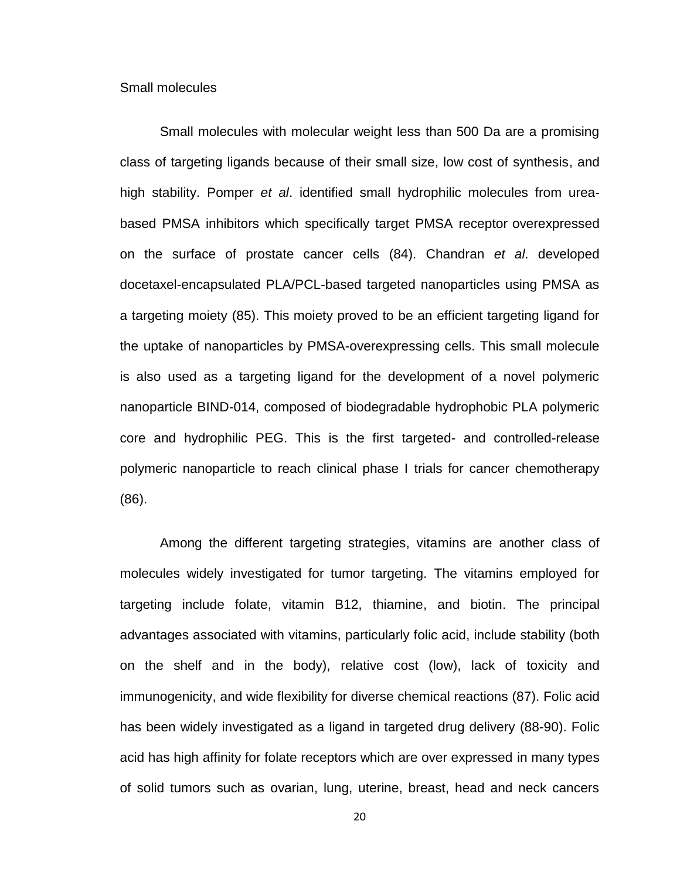Small molecules

Small molecules with molecular weight less than 500 Da are a promising class of targeting ligands because of their small size, low cost of synthesis, and high stability. Pomper *et al*. identified small hydrophilic molecules from ureabased PMSA inhibitors which specifically target PMSA receptor overexpressed on the surface of prostate cancer cells [\(84\)](#page-51-6). Chandran *et al*. developed docetaxel-encapsulated PLA/PCL-based targeted nanoparticles using PMSA as a targeting moiety [\(85\)](#page-51-7). This moiety proved to be an efficient targeting ligand for the uptake of nanoparticles by PMSA-overexpressing cells. This small molecule is also used as a targeting ligand for the development of a novel polymeric nanoparticle BIND-014, composed of biodegradable hydrophobic PLA polymeric core and hydrophilic PEG. This is the first targeted- and controlled-release polymeric nanoparticle to reach clinical phase I trials for cancer chemotherapy [\(86\)](#page-51-8).

Among the different targeting strategies, vitamins are another class of molecules widely investigated for tumor targeting. The vitamins employed for targeting include folate, vitamin B12, thiamine, and biotin. The principal advantages associated with vitamins, particularly folic acid, include stability (both on the shelf and in the body), relative cost (low), lack of toxicity and immunogenicity, and wide flexibility for diverse chemical reactions [\(87\)](#page-52-0). Folic acid has been widely investigated as a ligand in targeted drug delivery [\(88-90\)](#page-52-1). Folic acid has high affinity for folate receptors which are over expressed in many types of solid tumors such as ovarian, lung, uterine, breast, head and neck cancers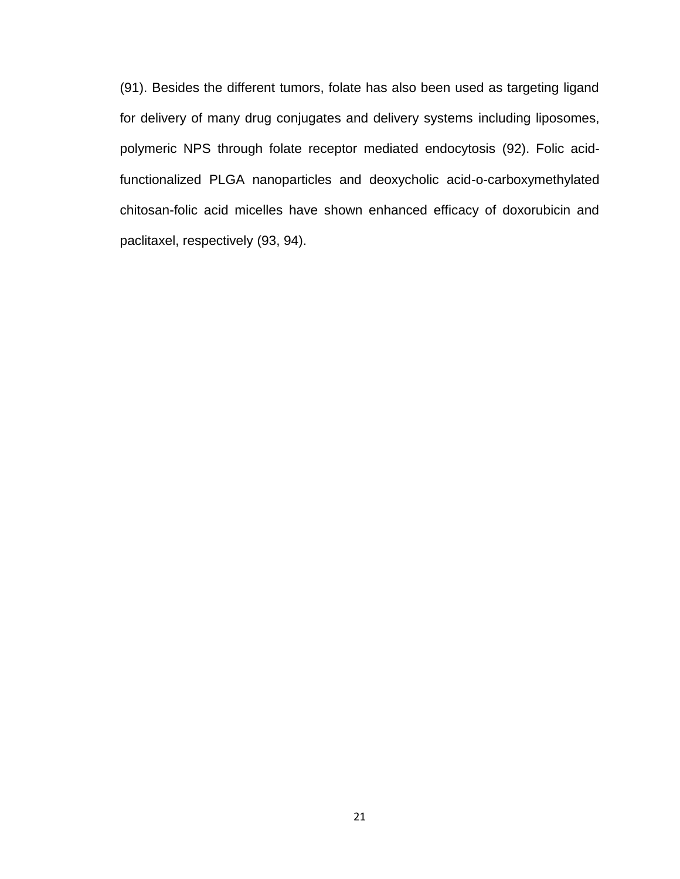[\(91\)](#page-52-2). Besides the different tumors, folate has also been used as targeting ligand for delivery of many drug conjugates and delivery systems including liposomes, polymeric NPS through folate receptor mediated endocytosis [\(92\)](#page-52-3). Folic acidfunctionalized PLGA nanoparticles and deoxycholic acid-o-carboxymethylated chitosan-folic acid micelles have shown enhanced efficacy of doxorubicin and paclitaxel, respectively [\(93,](#page-52-4) [94\)](#page-52-5).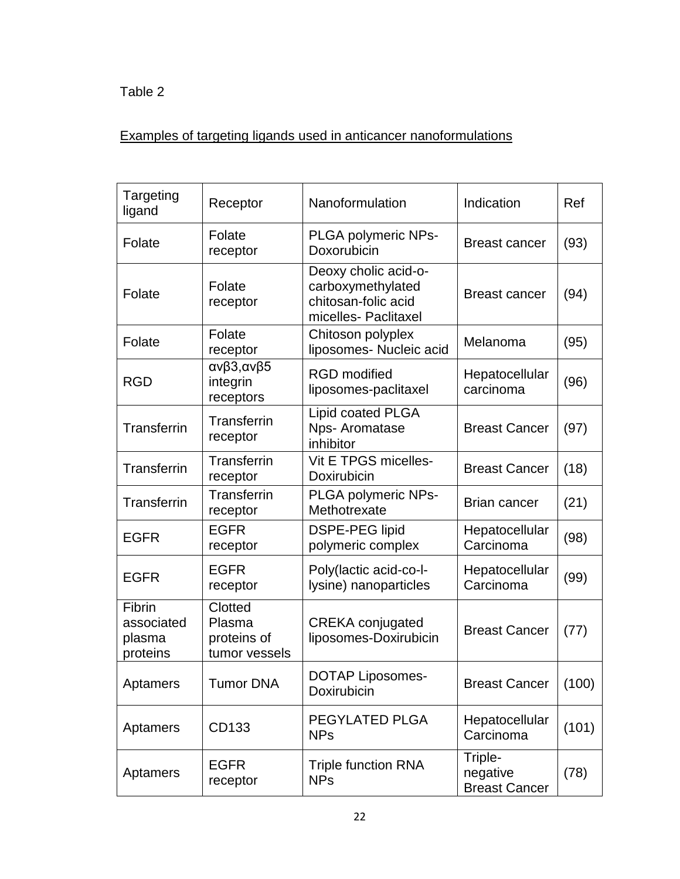Table 2

# Examples of targeting ligands used in anticancer nanoformulations

| Targeting<br>ligand                        | Receptor                                          | Nanoformulation                                                                          | Indication                                  | Ref   |
|--------------------------------------------|---------------------------------------------------|------------------------------------------------------------------------------------------|---------------------------------------------|-------|
| Folate                                     | Folate<br>receptor                                | <b>PLGA polymeric NPs-</b><br>Doxorubicin                                                | <b>Breast cancer</b>                        | (93)  |
| Folate                                     | Folate<br>receptor                                | Deoxy cholic acid-o-<br>carboxymethylated<br>chitosan-folic acid<br>micelles- Paclitaxel | <b>Breast cancer</b>                        | (94)  |
| Folate                                     | Folate<br>receptor                                | Chitoson polyplex<br>liposomes- Nucleic acid                                             | Melanoma                                    | (95)  |
| <b>RGD</b>                                 | ανβ3,ανβ5<br>integrin<br>receptors                | <b>RGD</b> modified<br>liposomes-paclitaxel                                              | Hepatocellular<br>carcinoma                 | (96)  |
| Transferrin                                | <b>Transferrin</b><br>receptor                    | Lipid coated PLGA<br>Nps- Aromatase<br>inhibitor                                         | <b>Breast Cancer</b>                        | (97)  |
| Transferrin                                | Transferrin<br>receptor                           | Vit E TPGS micelles-<br>Doxirubicin                                                      | <b>Breast Cancer</b>                        | (18)  |
| Transferrin                                | Transferrin<br>receptor                           | PLGA polymeric NPs-<br>Methotrexate                                                      | <b>Brian cancer</b>                         | (21)  |
| <b>EGFR</b>                                | <b>EGFR</b><br>receptor                           | <b>DSPE-PEG lipid</b><br>polymeric complex                                               | Hepatocellular<br>Carcinoma                 | (98)  |
| <b>EGFR</b>                                | <b>EGFR</b><br>receptor                           | Poly(lactic acid-co-l-<br>lysine) nanoparticles                                          | Hepatocellular<br>Carcinoma                 | (99)  |
| Fibrin<br>associated<br>plasma<br>proteins | Clotted<br>Plasma<br>proteins of<br>tumor vessels | <b>CREKA</b> conjugated<br>liposomes-Doxirubicin                                         | <b>Breast Cancer</b>                        | (77)  |
| Aptamers                                   | <b>Tumor DNA</b>                                  | <b>DOTAP Liposomes-</b><br>Doxirubicin                                                   | <b>Breast Cancer</b>                        | (100) |
| Aptamers                                   | CD133                                             | PEGYLATED PLGA<br><b>NPs</b>                                                             | Hepatocellular<br>Carcinoma                 | (101) |
| Aptamers                                   | <b>EGFR</b><br>receptor                           | <b>Triple function RNA</b><br><b>NPs</b>                                                 | Triple-<br>negative<br><b>Breast Cancer</b> | (78)  |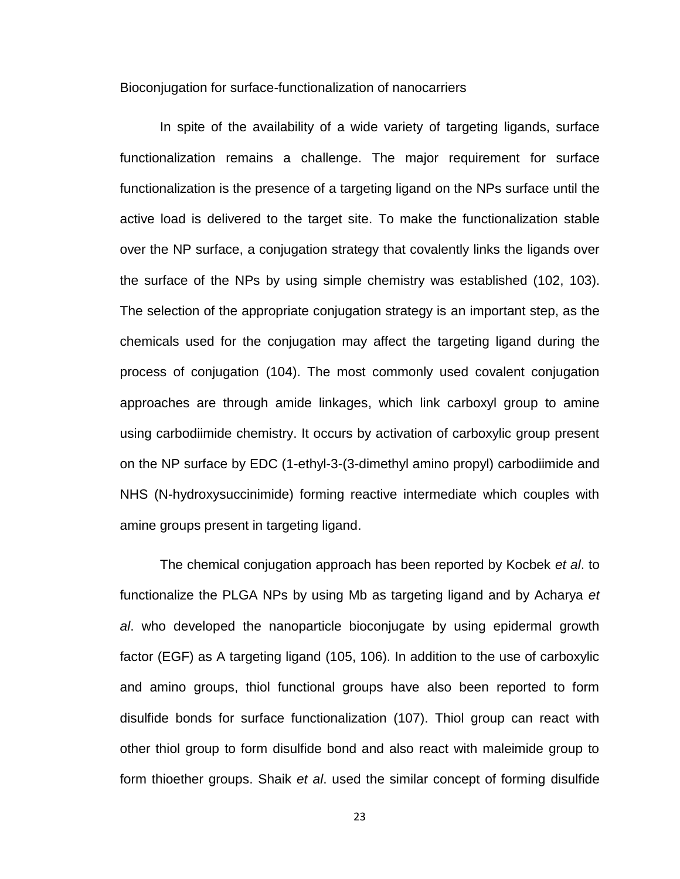Bioconjugation for surface-functionalization of nanocarriers

In spite of the availability of a wide variety of targeting ligands, surface functionalization remains a challenge. The major requirement for surface functionalization is the presence of a targeting ligand on the NPs surface until the active load is delivered to the target site. To make the functionalization stable over the NP surface, a conjugation strategy that covalently links the ligands over the surface of the NPs by using simple chemistry was established [\(102,](#page-53-2) [103\)](#page-53-3). The selection of the appropriate conjugation strategy is an important step, as the chemicals used for the conjugation may affect the targeting ligand during the process of conjugation [\(104\)](#page-53-4). The most commonly used covalent conjugation approaches are through amide linkages, which link carboxyl group to amine using carbodiimide chemistry. It occurs by activation of carboxylic group present on the NP surface by EDC (1-ethyl-3-(3-dimethyl amino propyl) carbodiimide and NHS (N-hydroxysuccinimide) forming reactive intermediate which couples with amine groups present in targeting ligand.

The chemical conjugation approach has been reported by Kocbek *et al*. to functionalize the PLGA NPs by using Mb as targeting ligand and by Acharya *et al*. who developed the nanoparticle bioconjugate by using epidermal growth factor (EGF) as A targeting ligand [\(105,](#page-53-5) [106\)](#page-53-6). In addition to the use of carboxylic and amino groups, thiol functional groups have also been reported to form disulfide bonds for surface functionalization [\(107\)](#page-53-7). Thiol group can react with other thiol group to form disulfide bond and also react with maleimide group to form thioether groups. Shaik *et al*. used the similar concept of forming disulfide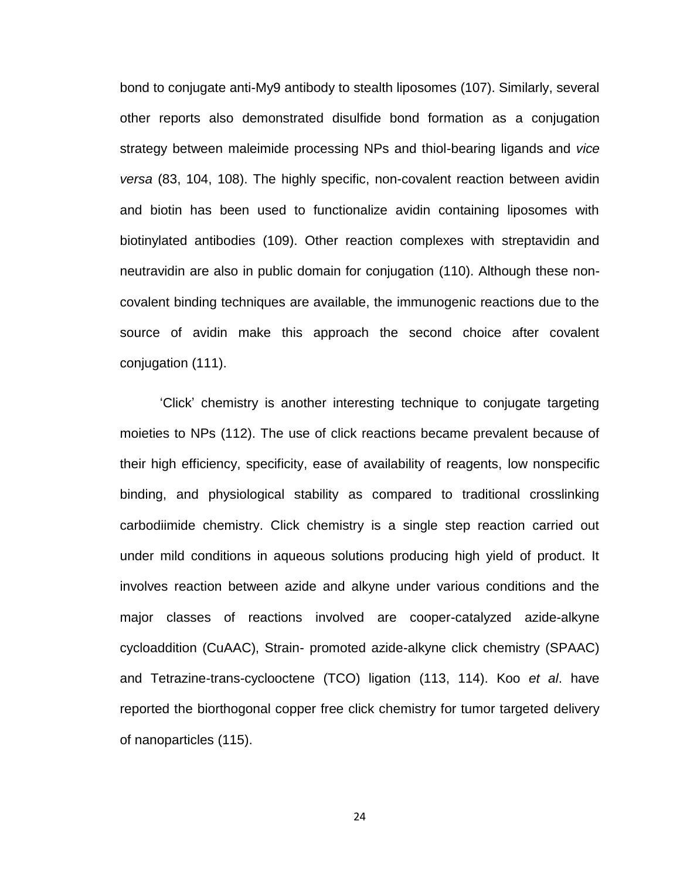bond to conjugate anti-My9 antibody to stealth liposomes [\(107\)](#page-53-7). Similarly, several other reports also demonstrated disulfide bond formation as a conjugation strategy between maleimide processing NPs and thiol-bearing ligands and *vice versa* [\(83,](#page-51-5) [104,](#page-53-4) [108\)](#page-53-8). The highly specific, non-covalent reaction between avidin and biotin has been used to functionalize avidin containing liposomes with biotinylated antibodies [\(109\)](#page-53-9). Other reaction complexes with streptavidin and neutravidin are also in public domain for conjugation [\(110\)](#page-53-10). Although these noncovalent binding techniques are available, the immunogenic reactions due to the source of avidin make this approach the second choice after covalent conjugation [\(111\)](#page-53-11).

'Click' chemistry is another interesting technique to conjugate targeting moieties to NPs [\(112\)](#page-54-0). The use of click reactions became prevalent because of their high efficiency, specificity, ease of availability of reagents, low nonspecific binding, and physiological stability as compared to traditional crosslinking carbodiimide chemistry. Click chemistry is a single step reaction carried out under mild conditions in aqueous solutions producing high yield of product. It involves reaction between azide and alkyne under various conditions and the major classes of reactions involved are cooper-catalyzed azide-alkyne cycloaddition (CuAAC), Strain- promoted azide-alkyne click chemistry (SPAAC) and Tetrazine-trans-cyclooctene (TCO) ligation [\(113,](#page-54-1) [114\)](#page-54-2). Koo *et al*. have reported the biorthogonal copper free click chemistry for tumor targeted delivery of nanoparticles [\(115\)](#page-54-3).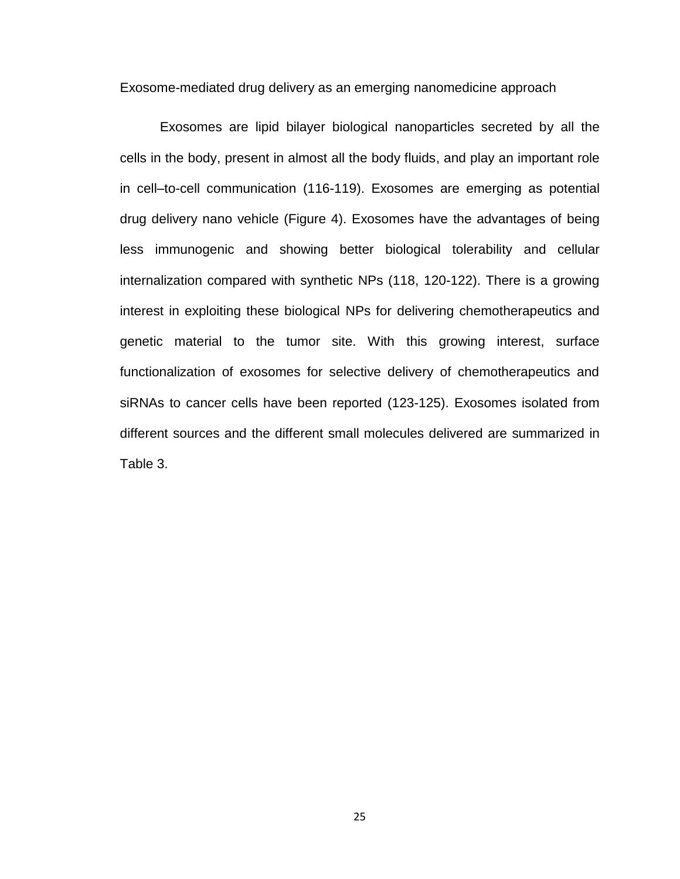Exosome-mediated drug delivery as an emerging nanomedicine approach

Exosomes are lipid bilayer biological nanoparticles secreted by all the cells in the body, present in almost all the body fluids, and play an important role in cell–to-cell communication [\(116-119\)](#page-54-4). Exosomes are emerging as potential drug delivery nano vehicle (Figure 4). Exosomes have the advantages of being less immunogenic and showing better biological tolerability and cellular internalization compared with synthetic NPs [\(118,](#page-54-5) [120-122\)](#page-54-6). There is a growing interest in exploiting these biological NPs for delivering chemotherapeutics and genetic material to the tumor site. With this growing interest, surface functionalization of exosomes for selective delivery of chemotherapeutics and siRNAs to cancer cells have been reported [\(123-125\)](#page-54-7). Exosomes isolated from different sources and the different small molecules delivered are summarized in Table 3.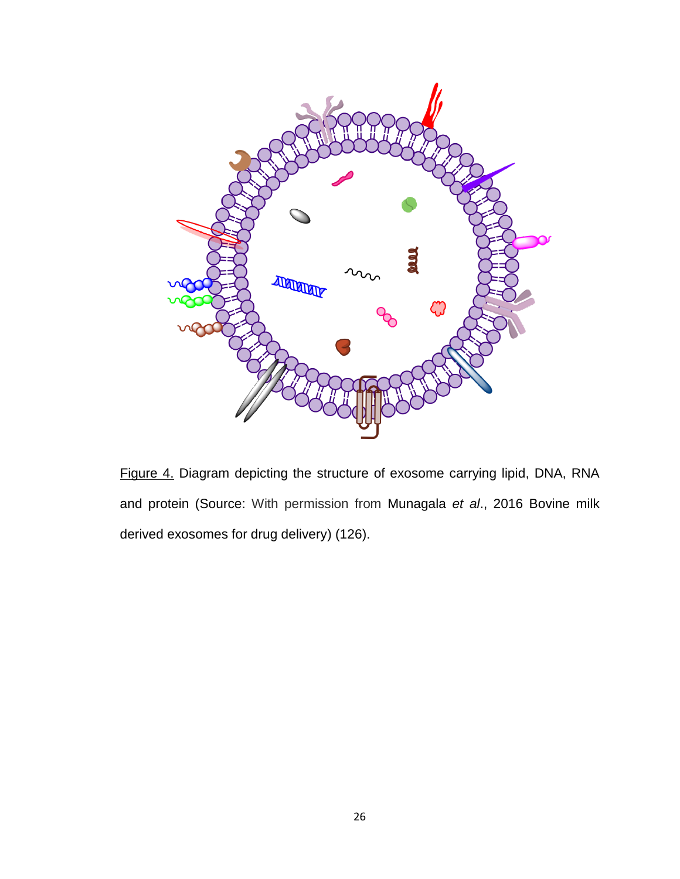

Figure 4. Diagram depicting the structure of exosome carrying lipid, DNA, RNA and protein (Source: With permission from Munagala *et al*., 2016 Bovine milk derived exosomes for drug delivery) [\(126\)](#page-55-0).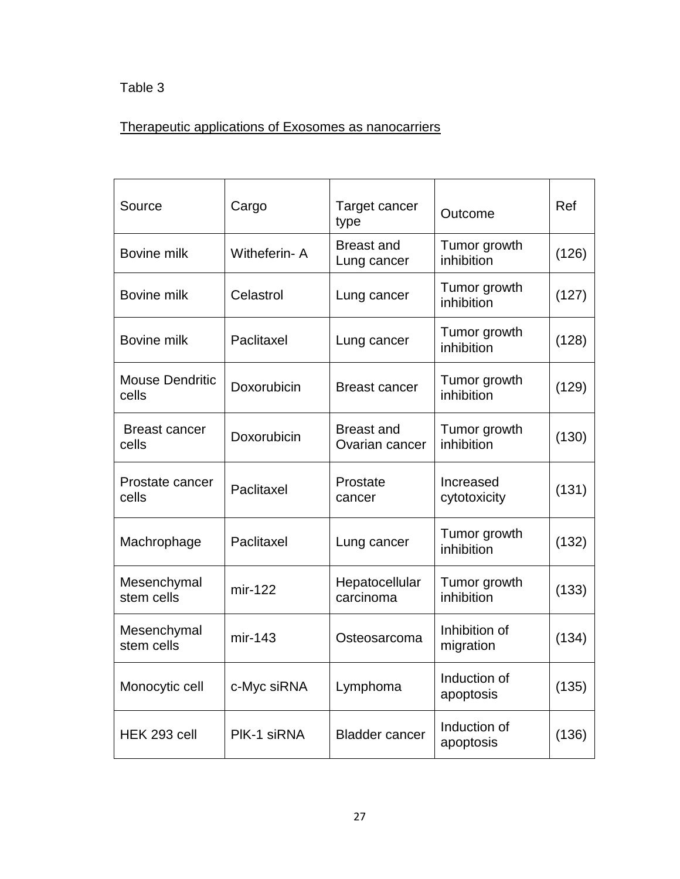# Table 3

# Therapeutic applications of Exosomes as nanocarriers

| Source                          | Cargo        | Target cancer<br>type               | Outcome                    | Ref   |
|---------------------------------|--------------|-------------------------------------|----------------------------|-------|
| Bovine milk                     | Witheferin-A | <b>Breast and</b><br>Lung cancer    | Tumor growth<br>inhibition | (126) |
| Bovine milk                     | Celastrol    | Lung cancer                         | Tumor growth<br>inhibition | (127) |
| Bovine milk                     | Paclitaxel   | Lung cancer                         | Tumor growth<br>inhibition | (128) |
| <b>Mouse Dendritic</b><br>cells | Doxorubicin  | <b>Breast cancer</b>                | Tumor growth<br>inhibition | (129) |
| <b>Breast cancer</b><br>cells   | Doxorubicin  | <b>Breast and</b><br>Ovarian cancer | Tumor growth<br>inhibition | (130) |
| Prostate cancer<br>cells        | Paclitaxel   | Prostate<br>cancer                  | Increased<br>cytotoxicity  | (131) |
| Machrophage                     | Paclitaxel   | Lung cancer                         | Tumor growth<br>inhibition | (132) |
| Mesenchymal<br>stem cells       | mir-122      | Hepatocellular<br>carcinoma         | Tumor growth<br>inhibition | (133) |
| Mesenchymal<br>stem cells       | $mir-143$    | Osteosarcoma                        | Inhibition of<br>migration | (134) |
| Monocytic cell                  | c-Myc siRNA  | Lymphoma                            | Induction of<br>apoptosis  | (135) |
| HEK 293 cell                    | PIK-1 siRNA  | <b>Bladder cancer</b>               | Induction of<br>apoptosis  | (136) |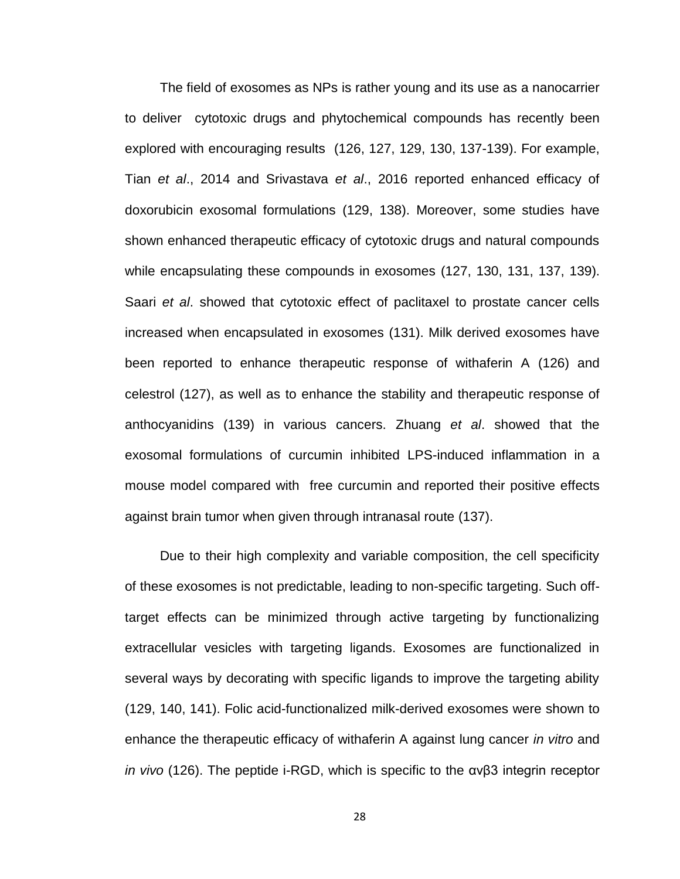The field of exosomes as NPs is rather young and its use as a nanocarrier to deliver cytotoxic drugs and phytochemical compounds has recently been explored with encouraging results [\(126,](#page-55-0) [127,](#page-55-1) [129,](#page-55-3) [130,](#page-55-4) [137-139\)](#page-56-1). For example, Tian *et al*., 2014 and Srivastava *et al*., 2016 reported enhanced efficacy of doxorubicin exosomal formulations [\(129,](#page-55-3) [138\)](#page-56-2). Moreover, some studies have shown enhanced therapeutic efficacy of cytotoxic drugs and natural compounds while encapsulating these compounds in exosomes [\(127,](#page-55-1) [130,](#page-55-4) [131,](#page-55-5) [137,](#page-56-1) [139\)](#page-56-3). Saari *et al*. showed that cytotoxic effect of paclitaxel to prostate cancer cells increased when encapsulated in exosomes [\(131\)](#page-55-5). Milk derived exosomes have been reported to enhance therapeutic response of withaferin A [\(126\)](#page-55-0) and celestrol [\(127\)](#page-55-1), as well as to enhance the stability and therapeutic response of anthocyanidins [\(139\)](#page-56-3) in various cancers. Zhuang *et al*. showed that the exosomal formulations of curcumin inhibited LPS-induced inflammation in a mouse model compared with free curcumin and reported their positive effects against brain tumor when given through intranasal route [\(137\)](#page-56-1).

Due to their high complexity and variable composition, the cell specificity of these exosomes is not predictable, leading to non-specific targeting. Such offtarget effects can be minimized through active targeting by functionalizing extracellular vesicles with targeting ligands. Exosomes are functionalized in several ways by decorating with specific ligands to improve the targeting ability [\(129,](#page-55-3) [140,](#page-56-4) [141\)](#page-56-5). Folic acid-functionalized milk-derived exosomes were shown to enhance the therapeutic efficacy of withaferin A against lung cancer *in vitro* and *in vivo* [\(126\)](#page-55-0). The peptide i-RGD, which is specific to the αvβ3 integrin receptor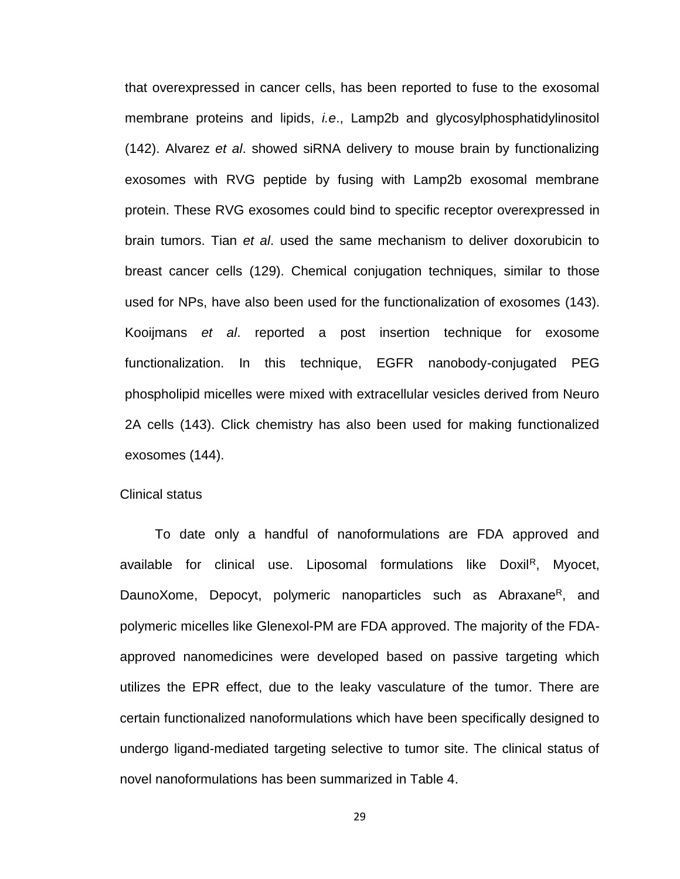that overexpressed in cancer cells, has been reported to fuse to the exosomal membrane proteins and lipids, *i.e*., Lamp2b and glycosylphosphatidylinositol [\(142\)](#page-56-6). Alvarez *et al*. showed siRNA delivery to mouse brain by functionalizing exosomes with RVG peptide by fusing with Lamp2b exosomal membrane protein. These RVG exosomes could bind to specific receptor overexpressed in brain tumors. Tian *et al*. used the same mechanism to deliver doxorubicin to breast cancer cells [\(129\)](#page-55-3). Chemical conjugation techniques, similar to those used for NPs, have also been used for the functionalization of exosomes [\(143\)](#page-56-7). Kooijmans *et al*. reported a post insertion technique for exosome functionalization. In this technique, EGFR nanobody-conjugated PEG phospholipid micelles were mixed with extracellular vesicles derived from Neuro 2A cells [\(143\)](#page-56-7). Click chemistry has also been used for making functionalized exosomes [\(144\)](#page-56-8).

#### Clinical status

To date only a handful of nanoformulations are FDA approved and available for clinical use. Liposomal formulations like Doxil<sup>R</sup>, Myocet, DaunoXome, Depocyt, polymeric nanoparticles such as Abraxane<sup>R</sup>, and polymeric micelles like Glenexol-PM are FDA approved. The majority of the FDAapproved nanomedicines were developed based on passive targeting which utilizes the EPR effect, due to the leaky vasculature of the tumor. There are certain functionalized nanoformulations which have been specifically designed to undergo ligand-mediated targeting selective to tumor site. The clinical status of novel nanoformulations has been summarized in Table 4.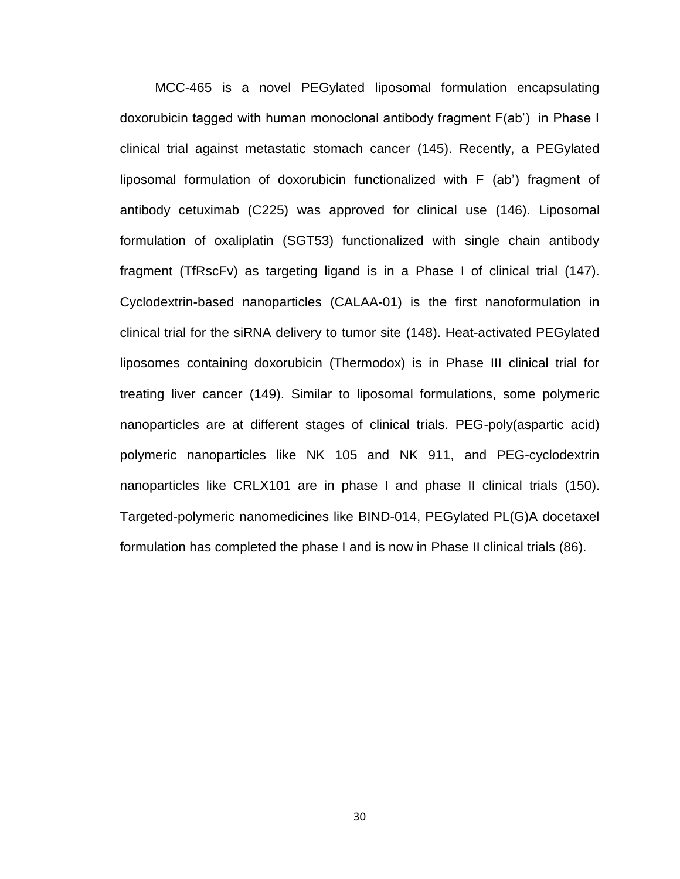MCC-465 is a novel PEGylated liposomal formulation encapsulating doxorubicin tagged with human monoclonal antibody fragment F(ab') in Phase I clinical trial against metastatic stomach cancer [\(145\)](#page-56-9). Recently, a PEGylated liposomal formulation of doxorubicin functionalized with F (ab') fragment of antibody cetuximab (C225) was approved for clinical use [\(146\)](#page-56-10). Liposomal formulation of oxaliplatin (SGT53) functionalized with single chain antibody fragment (TfRscFv) as targeting ligand is in a Phase I of clinical trial [\(147\)](#page-57-0). Cyclodextrin-based nanoparticles (CALAA-01) is the first nanoformulation in clinical trial for the siRNA delivery to tumor site [\(148\)](#page-57-1). Heat-activated PEGylated liposomes containing doxorubicin (Thermodox) is in Phase III clinical trial for treating liver cancer [\(149\)](#page-57-2). Similar to liposomal formulations, some polymeric nanoparticles are at different stages of clinical trials. PEG-poly(aspartic acid) polymeric nanoparticles like NK 105 and NK 911, and PEG-cyclodextrin nanoparticles like CRLX101 are in phase I and phase II clinical trials [\(150\)](#page-57-3). Targeted-polymeric nanomedicines like BIND-014, PEGylated PL(G)A docetaxel formulation has completed the phase I and is now in Phase II clinical trials [\(86\)](#page-51-8).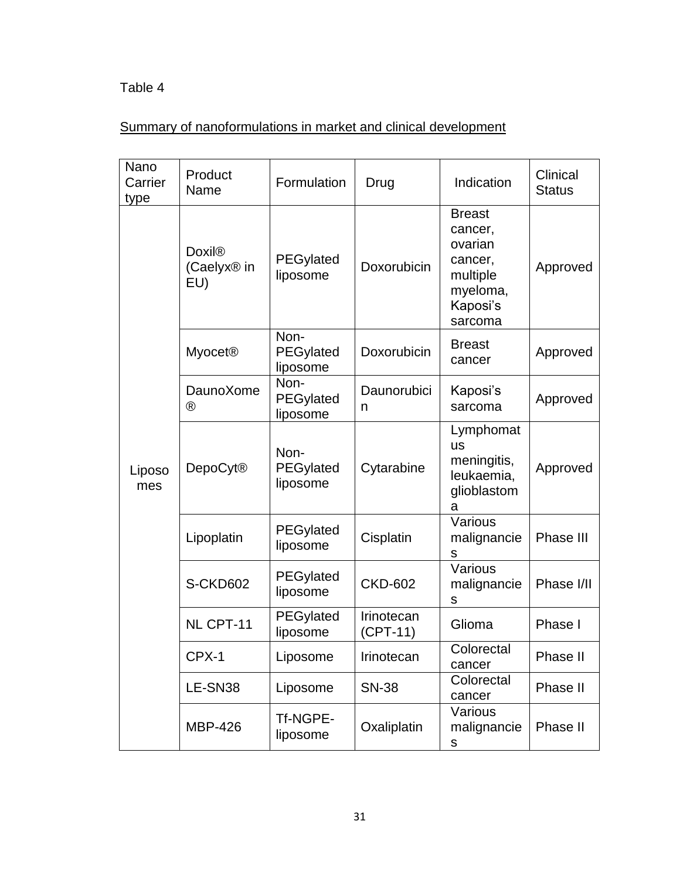# Table 4

# Summary of nanoformulations in market and clinical development

| Nano<br>Carrier<br>type | Product<br>Name                                 | Formulation                          | Drug                     | Indication                                                                                    | Clinical<br><b>Status</b> |
|-------------------------|-------------------------------------------------|--------------------------------------|--------------------------|-----------------------------------------------------------------------------------------------|---------------------------|
|                         | <b>Doxil®</b><br>(Caelyx <sup>®</sup> in<br>EU) | PEGylated<br>liposome                | Doxorubicin              | <b>Breast</b><br>cancer,<br>ovarian<br>cancer,<br>multiple<br>myeloma,<br>Kaposi's<br>sarcoma | Approved                  |
|                         | <b>Myocet®</b>                                  | Non-<br><b>PEGylated</b><br>liposome | Doxorubicin              | <b>Breast</b><br>cancer                                                                       | Approved                  |
|                         | DaunoXome<br>$^{\circledR}$                     | Non-<br>PEGylated<br>liposome        | Daunorubici<br>n         | Kaposi's<br>sarcoma                                                                           | Approved                  |
| Liposo<br>mes           | <b>DepoCyt®</b>                                 | Non-<br>PEGylated<br>liposome        | Cytarabine               | Lymphomat<br><b>US</b><br>meningitis,<br>leukaemia,<br>glioblastom<br>a                       | Approved                  |
|                         | Lipoplatin                                      | PEGylated<br>liposome                | Cisplatin                | Various<br>malignancie<br>S                                                                   | Phase III                 |
|                         | S-CKD602                                        | <b>PEGylated</b><br>liposome         | <b>CKD-602</b>           | Various<br>malignancie<br>${\sf S}$                                                           | Phase I/II                |
|                         | NL CPT-11                                       | PEGylated<br>liposome                | Irinotecan<br>$(CPT-11)$ | Glioma                                                                                        | Phase I                   |
|                         | CPX-1                                           | Liposome                             | Irinotecan               | Colorectal<br>cancer                                                                          | Phase II                  |
|                         | LE-SN38                                         | Liposome                             | <b>SN-38</b>             | Colorectal<br>cancer                                                                          | Phase II                  |
|                         | <b>MBP-426</b>                                  | Tf-NGPE-<br>liposome                 | Oxaliplatin              | Various<br>malignancie<br>S                                                                   | Phase II                  |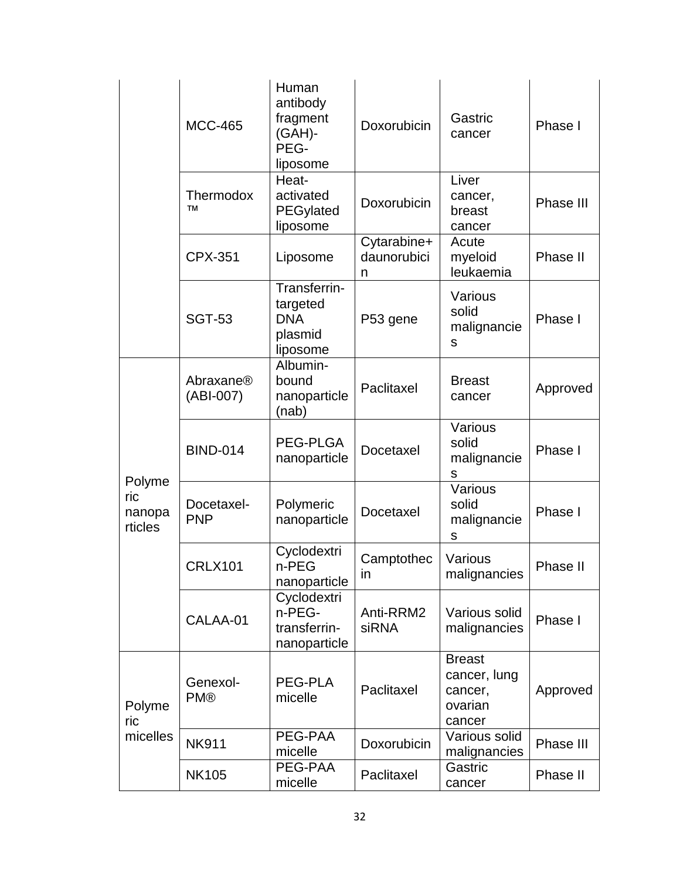|                                    | <b>MCC-465</b>           | Human<br>antibody<br>fragment<br>(GAH)-<br>PEG-<br>liposome   | Doxorubicin                     | Gastric<br>cancer                                             | Phase I   |
|------------------------------------|--------------------------|---------------------------------------------------------------|---------------------------------|---------------------------------------------------------------|-----------|
|                                    | Thermodox<br><b>TM</b>   | Heat-<br>activated<br>PEGylated<br>liposome                   | Doxorubicin                     | Liver<br>cancer,<br>breast<br>cancer                          | Phase III |
|                                    | <b>CPX-351</b>           | Liposome                                                      | Cytarabine+<br>daunorubici<br>n | Acute<br>myeloid<br>leukaemia                                 | Phase II  |
|                                    | <b>SGT-53</b>            | Transferrin-<br>targeted<br><b>DNA</b><br>plasmid<br>liposome | P53 gene                        | Various<br>solid<br>malignancie<br>S                          | Phase I   |
| Polyme<br>ric<br>nanopa<br>rticles | Abraxane®<br>(ABI-007)   | Albumin-<br>bound<br>nanoparticle<br>(nab)                    | Paclitaxel                      | <b>Breast</b><br>cancer                                       | Approved  |
|                                    | <b>BIND-014</b>          | PEG-PLGA<br>nanoparticle                                      | Docetaxel                       | Various<br>solid<br>malignancie<br>S                          | Phase I   |
|                                    | Docetaxel-<br><b>PNP</b> | Polymeric<br>nanoparticle                                     | Docetaxel                       | Various<br>solid<br>malignancie<br>S                          | Phase I   |
|                                    | <b>CRLX101</b>           | Cyclodextri<br>n-PEG<br>nanoparticle                          | Camptothec<br>in                | Various<br>malignancies                                       | Phase II  |
|                                    | CALAA-01                 | Cyclodextri<br>n-PEG-<br>transferrin-<br>nanoparticle         | Anti-RRM2<br>siRNA              | Various solid<br>malignancies                                 | Phase I   |
| Polyme<br>ric<br>micelles          | Genexol-<br><b>PM®</b>   | <b>PEG-PLA</b><br>micelle                                     | Paclitaxel                      | <b>Breast</b><br>cancer, lung<br>cancer,<br>ovarian<br>cancer | Approved  |
|                                    | <b>NK911</b>             | PEG-PAA<br>micelle                                            | Doxorubicin                     | Various solid<br>malignancies                                 | Phase III |
|                                    | <b>NK105</b>             | PEG-PAA<br>micelle                                            | Paclitaxel                      | Gastric<br>cancer                                             | Phase II  |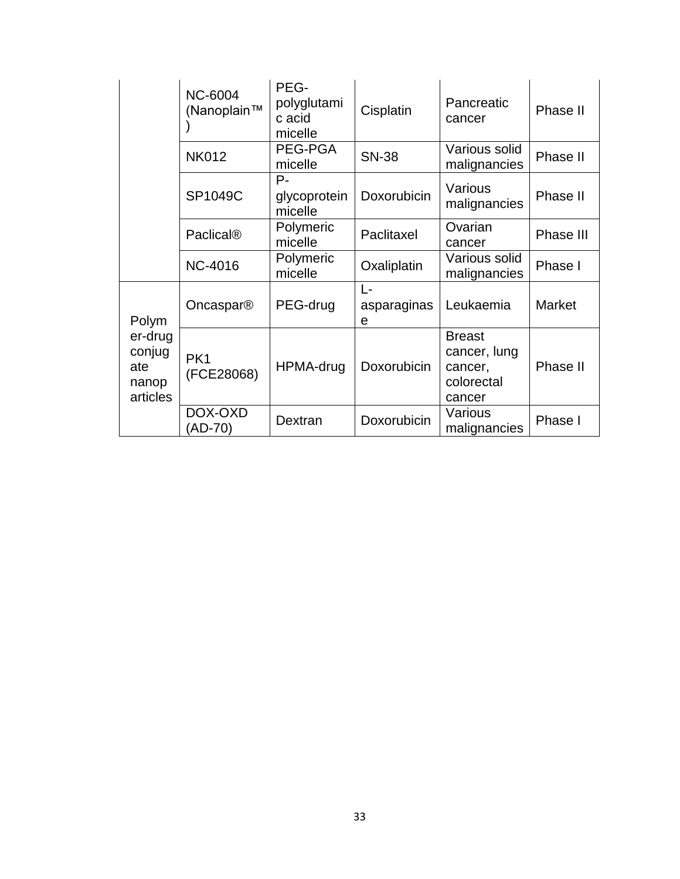|                                                        | <b>NC-6004</b><br>(Nanoplain™ | PEG-<br>polyglutami<br>c acid<br>micelle | Cisplatin              | Pancreatic<br>cancer                                             | Phase II      |
|--------------------------------------------------------|-------------------------------|------------------------------------------|------------------------|------------------------------------------------------------------|---------------|
|                                                        | <b>NK012</b>                  | PEG-PGA<br>micelle                       | <b>SN-38</b>           | Various solid<br>malignancies                                    | Phase II      |
|                                                        | SP1049C                       | $P -$<br>glycoprotein<br>micelle         | Doxorubicin            | Various<br>malignancies                                          | Phase II      |
|                                                        | <b>Paclical®</b>              | Polymeric<br>micelle                     | Paclitaxel             | Ovarian<br>cancer                                                | Phase III     |
|                                                        | <b>NC-4016</b>                | Polymeric<br>micelle                     | Oxaliplatin            | Various solid<br>malignancies                                    | Phase I       |
| Polym<br>er-drug<br>conjug<br>ate<br>nanop<br>articles | Oncaspar®                     | PEG-drug                                 | L-<br>asparaginas<br>е | Leukaemia                                                        | <b>Market</b> |
|                                                        | PK <sub>1</sub><br>(FCE28068) | HPMA-drug                                | Doxorubicin            | <b>Breast</b><br>cancer, lung<br>cancer,<br>colorectal<br>cancer | Phase II      |
|                                                        | DOX-OXD<br>(AD-70)            | Dextran                                  | Doxorubicin            | Various<br>malignancies                                          | Phase I       |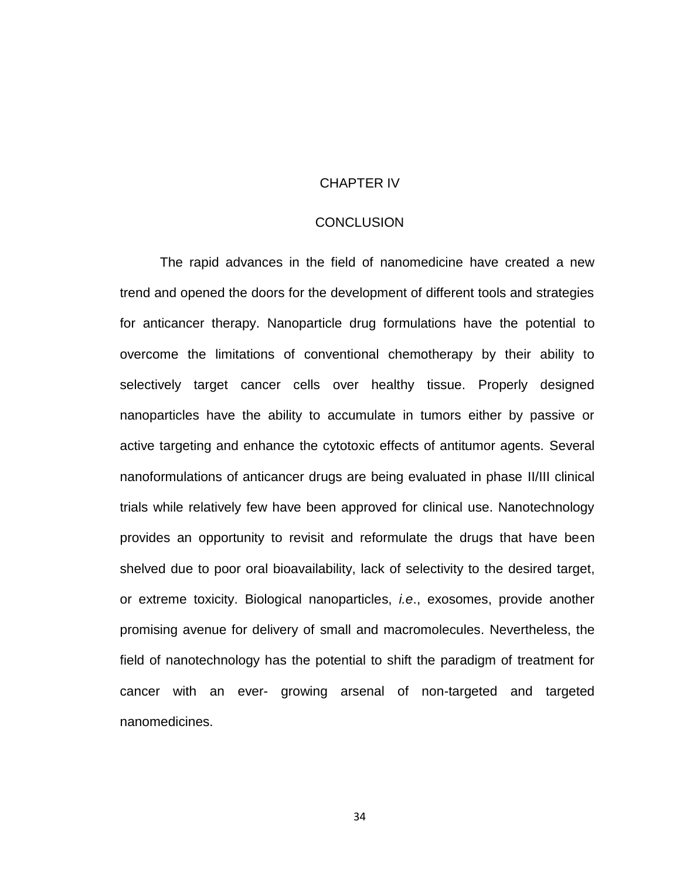#### CHAPTER IV

#### **CONCLUSION**

The rapid advances in the field of nanomedicine have created a new trend and opened the doors for the development of different tools and strategies for anticancer therapy. Nanoparticle drug formulations have the potential to overcome the limitations of conventional chemotherapy by their ability to selectively target cancer cells over healthy tissue. Properly designed nanoparticles have the ability to accumulate in tumors either by passive or active targeting and enhance the cytotoxic effects of antitumor agents. Several nanoformulations of anticancer drugs are being evaluated in phase II/III clinical trials while relatively few have been approved for clinical use. Nanotechnology provides an opportunity to revisit and reformulate the drugs that have been shelved due to poor oral bioavailability, lack of selectivity to the desired target, or extreme toxicity. Biological nanoparticles, *i.e*., exosomes, provide another promising avenue for delivery of small and macromolecules. Nevertheless, the field of nanotechnology has the potential to shift the paradigm of treatment for cancer with an ever- growing arsenal of non-targeted and targeted nanomedicines.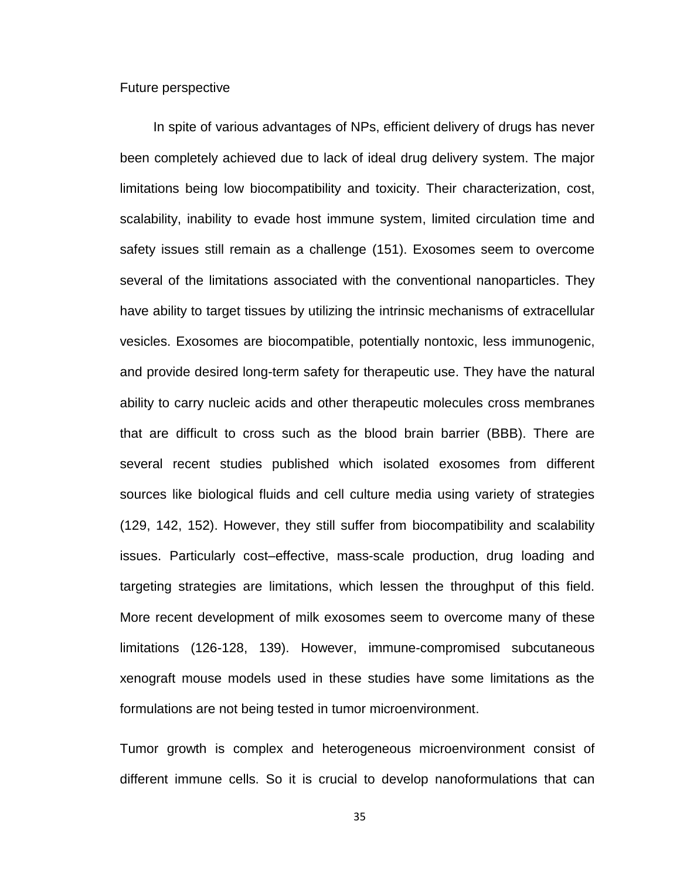#### Future perspective

 In spite of various advantages of NPs, efficient delivery of drugs has never been completely achieved due to lack of ideal drug delivery system. The major limitations being low biocompatibility and toxicity. Their characterization, cost, scalability, inability to evade host immune system, limited circulation time and safety issues still remain as a challenge [\(151\)](#page-57-4). Exosomes seem to overcome several of the limitations associated with the conventional nanoparticles. They have ability to target tissues by utilizing the intrinsic mechanisms of extracellular vesicles. Exosomes are biocompatible, potentially nontoxic, less immunogenic, and provide desired long-term safety for therapeutic use. They have the natural ability to carry nucleic acids and other therapeutic molecules cross membranes that are difficult to cross such as the blood brain barrier (BBB). There are several recent studies published which isolated exosomes from different sources like biological fluids and cell culture media using variety of strategies [\(129,](#page-55-3) [142,](#page-56-6) [152\)](#page-57-5). However, they still suffer from biocompatibility and scalability issues. Particularly cost–effective, mass-scale production, drug loading and targeting strategies are limitations, which lessen the throughput of this field. More recent development of milk exosomes seem to overcome many of these limitations [\(126-128,](#page-55-0) [139\)](#page-56-3). However, immune-compromised subcutaneous xenograft mouse models used in these studies have some limitations as the formulations are not being tested in tumor microenvironment.

Tumor growth is complex and heterogeneous microenvironment consist of different immune cells. So it is crucial to develop nanoformulations that can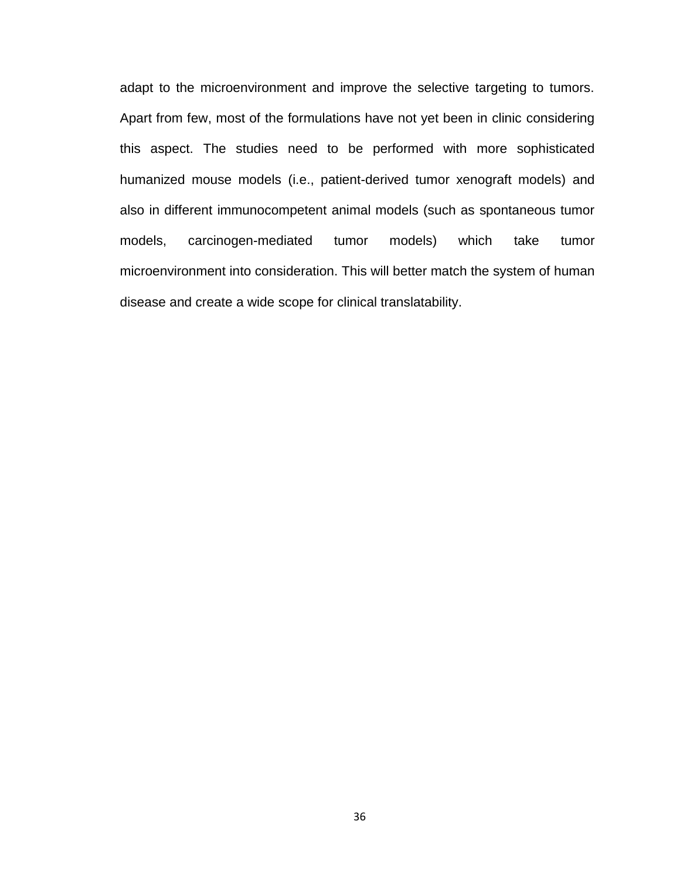adapt to the microenvironment and improve the selective targeting to tumors. Apart from few, most of the formulations have not yet been in clinic considering this aspect. The studies need to be performed with more sophisticated humanized mouse models (i.e., patient-derived tumor xenograft models) and also in different immunocompetent animal models (such as spontaneous tumor models, carcinogen-mediated tumor models) which take tumor microenvironment into consideration. This will better match the system of human disease and create a wide scope for clinical translatability.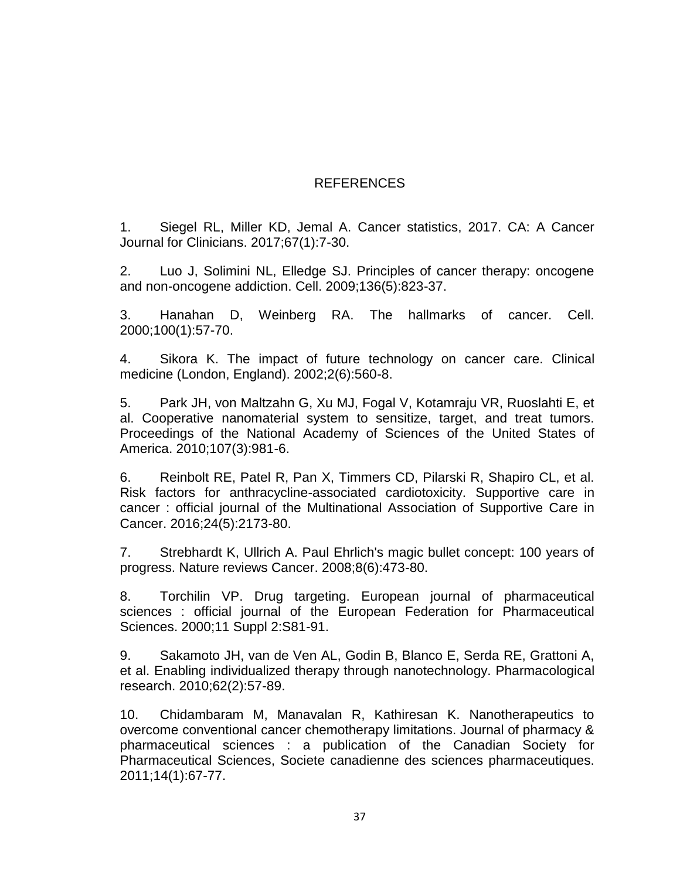# REFERENCES

<span id="page-45-0"></span>1. Siegel RL, Miller KD, Jemal A. Cancer statistics, 2017. CA: A Cancer Journal for Clinicians. 2017;67(1):7-30.

<span id="page-45-1"></span>2. Luo J, Solimini NL, Elledge SJ. Principles of cancer therapy: oncogene and non-oncogene addiction. Cell. 2009;136(5):823-37.

<span id="page-45-2"></span>3. Hanahan D, Weinberg RA. The hallmarks of cancer. Cell. 2000;100(1):57-70.

<span id="page-45-3"></span>4. Sikora K. The impact of future technology on cancer care. Clinical medicine (London, England). 2002;2(6):560-8.

<span id="page-45-4"></span>5. Park JH, von Maltzahn G, Xu MJ, Fogal V, Kotamraju VR, Ruoslahti E, et al. Cooperative nanomaterial system to sensitize, target, and treat tumors. Proceedings of the National Academy of Sciences of the United States of America. 2010;107(3):981-6.

<span id="page-45-5"></span>6. Reinbolt RE, Patel R, Pan X, Timmers CD, Pilarski R, Shapiro CL, et al. Risk factors for anthracycline-associated cardiotoxicity. Supportive care in cancer : official journal of the Multinational Association of Supportive Care in Cancer. 2016;24(5):2173-80.

<span id="page-45-6"></span>7. Strebhardt K, Ullrich A. Paul Ehrlich's magic bullet concept: 100 years of progress. Nature reviews Cancer. 2008;8(6):473-80.

<span id="page-45-7"></span>8. Torchilin VP. Drug targeting. European journal of pharmaceutical sciences : official journal of the European Federation for Pharmaceutical Sciences. 2000;11 Suppl 2:S81-91.

<span id="page-45-8"></span>9. Sakamoto JH, van de Ven AL, Godin B, Blanco E, Serda RE, Grattoni A, et al. Enabling individualized therapy through nanotechnology. Pharmacological research. 2010;62(2):57-89.

<span id="page-45-9"></span>10. Chidambaram M, Manavalan R, Kathiresan K. Nanotherapeutics to overcome conventional cancer chemotherapy limitations. Journal of pharmacy & pharmaceutical sciences : a publication of the Canadian Society for Pharmaceutical Sciences, Societe canadienne des sciences pharmaceutiques. 2011;14(1):67-77.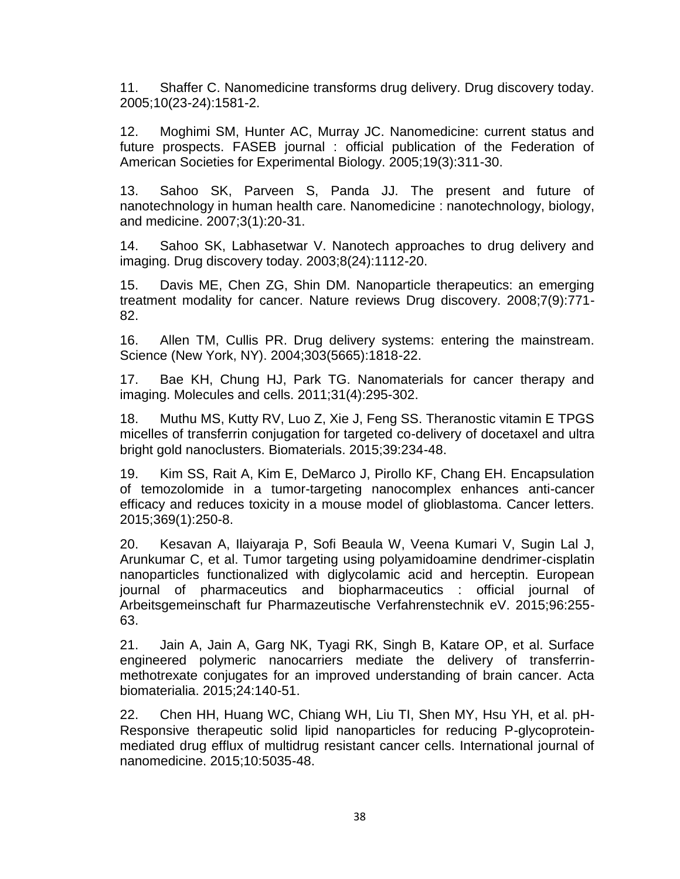<span id="page-46-0"></span>11. Shaffer C. Nanomedicine transforms drug delivery. Drug discovery today. 2005;10(23-24):1581-2.

12. Moghimi SM, Hunter AC, Murray JC. Nanomedicine: current status and future prospects. FASEB journal : official publication of the Federation of American Societies for Experimental Biology. 2005;19(3):311-30.

13. Sahoo SK, Parveen S, Panda JJ. The present and future of nanotechnology in human health care. Nanomedicine : nanotechnology, biology, and medicine. 2007;3(1):20-31.

14. Sahoo SK, Labhasetwar V. Nanotech approaches to drug delivery and imaging. Drug discovery today. 2003;8(24):1112-20.

<span id="page-46-1"></span>15. Davis ME, Chen ZG, Shin DM. Nanoparticle therapeutics: an emerging treatment modality for cancer. Nature reviews Drug discovery. 2008;7(9):771- 82.

<span id="page-46-2"></span>16. Allen TM, Cullis PR. Drug delivery systems: entering the mainstream. Science (New York, NY). 2004;303(5665):1818-22.

<span id="page-46-3"></span>17. Bae KH, Chung HJ, Park TG. Nanomaterials for cancer therapy and imaging. Molecules and cells. 2011;31(4):295-302.

<span id="page-46-4"></span>18. Muthu MS, Kutty RV, Luo Z, Xie J, Feng SS. Theranostic vitamin E TPGS micelles of transferrin conjugation for targeted co-delivery of docetaxel and ultra bright gold nanoclusters. Biomaterials. 2015;39:234-48.

19. Kim SS, Rait A, Kim E, DeMarco J, Pirollo KF, Chang EH. Encapsulation of temozolomide in a tumor-targeting nanocomplex enhances anti-cancer efficacy and reduces toxicity in a mouse model of glioblastoma. Cancer letters. 2015;369(1):250-8.

20. Kesavan A, Ilaiyaraja P, Sofi Beaula W, Veena Kumari V, Sugin Lal J, Arunkumar C, et al. Tumor targeting using polyamidoamine dendrimer-cisplatin nanoparticles functionalized with diglycolamic acid and herceptin. European journal of pharmaceutics and biopharmaceutics : official journal of Arbeitsgemeinschaft fur Pharmazeutische Verfahrenstechnik eV. 2015;96:255- 63.

<span id="page-46-5"></span>21. Jain A, Jain A, Garg NK, Tyagi RK, Singh B, Katare OP, et al. Surface engineered polymeric nanocarriers mediate the delivery of transferrinmethotrexate conjugates for an improved understanding of brain cancer. Acta biomaterialia. 2015;24:140-51.

22. Chen HH, Huang WC, Chiang WH, Liu TI, Shen MY, Hsu YH, et al. pH-Responsive therapeutic solid lipid nanoparticles for reducing P-glycoproteinmediated drug efflux of multidrug resistant cancer cells. International journal of nanomedicine. 2015;10:5035-48.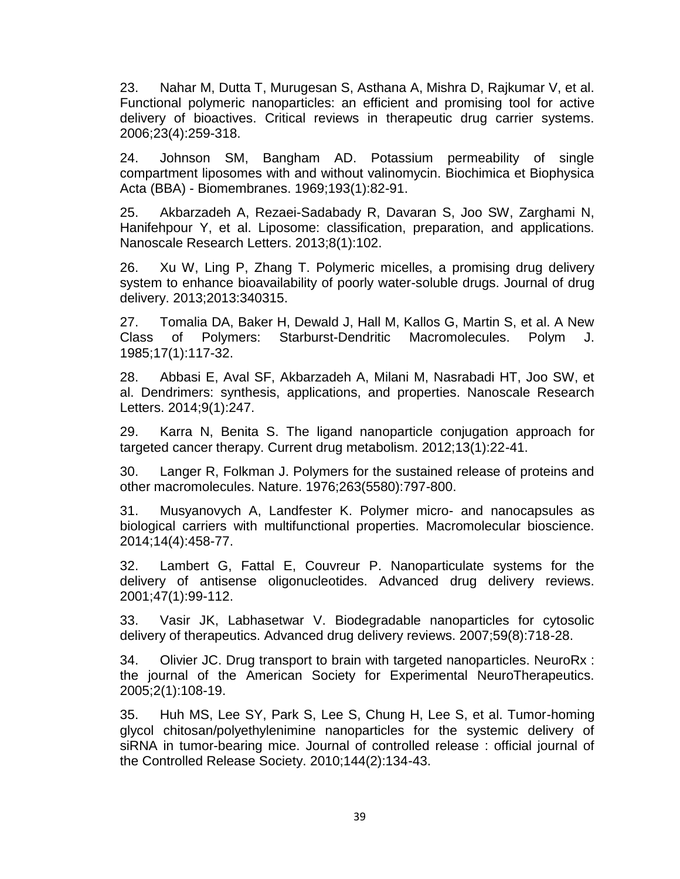<span id="page-47-0"></span>23. Nahar M, Dutta T, Murugesan S, Asthana A, Mishra D, Rajkumar V, et al. Functional polymeric nanoparticles: an efficient and promising tool for active delivery of bioactives. Critical reviews in therapeutic drug carrier systems. 2006;23(4):259-318.

<span id="page-47-1"></span>24. Johnson SM, Bangham AD. Potassium permeability of single compartment liposomes with and without valinomycin. Biochimica et Biophysica Acta (BBA) - Biomembranes. 1969;193(1):82-91.

<span id="page-47-2"></span>25. Akbarzadeh A, Rezaei-Sadabady R, Davaran S, Joo SW, Zarghami N, Hanifehpour Y, et al. Liposome: classification, preparation, and applications. Nanoscale Research Letters. 2013;8(1):102.

<span id="page-47-3"></span>26. Xu W, Ling P, Zhang T. Polymeric micelles, a promising drug delivery system to enhance bioavailability of poorly water-soluble drugs. Journal of drug delivery. 2013;2013:340315.

<span id="page-47-4"></span>27. Tomalia DA, Baker H, Dewald J, Hall M, Kallos G, Martin S, et al. A New Class of Polymers: Starburst-Dendritic Macromolecules. Polym J. 1985;17(1):117-32.

<span id="page-47-5"></span>28. Abbasi E, Aval SF, Akbarzadeh A, Milani M, Nasrabadi HT, Joo SW, et al. Dendrimers: synthesis, applications, and properties. Nanoscale Research Letters. 2014;9(1):247.

<span id="page-47-6"></span>29. Karra N, Benita S. The ligand nanoparticle conjugation approach for targeted cancer therapy. Current drug metabolism. 2012;13(1):22-41.

<span id="page-47-7"></span>30. Langer R, Folkman J. Polymers for the sustained release of proteins and other macromolecules. Nature. 1976;263(5580):797-800.

<span id="page-47-8"></span>31. Musyanovych A, Landfester K. Polymer micro- and nanocapsules as biological carriers with multifunctional properties. Macromolecular bioscience. 2014;14(4):458-77.

<span id="page-47-9"></span>32. Lambert G, Fattal E, Couvreur P. Nanoparticulate systems for the delivery of antisense oligonucleotides. Advanced drug delivery reviews. 2001;47(1):99-112.

<span id="page-47-10"></span>33. Vasir JK, Labhasetwar V. Biodegradable nanoparticles for cytosolic delivery of therapeutics. Advanced drug delivery reviews. 2007;59(8):718-28.

34. Olivier JC. Drug transport to brain with targeted nanoparticles. NeuroRx : the journal of the American Society for Experimental NeuroTherapeutics. 2005;2(1):108-19.

35. Huh MS, Lee SY, Park S, Lee S, Chung H, Lee S, et al. Tumor-homing glycol chitosan/polyethylenimine nanoparticles for the systemic delivery of siRNA in tumor-bearing mice. Journal of controlled release : official journal of the Controlled Release Society. 2010;144(2):134-43.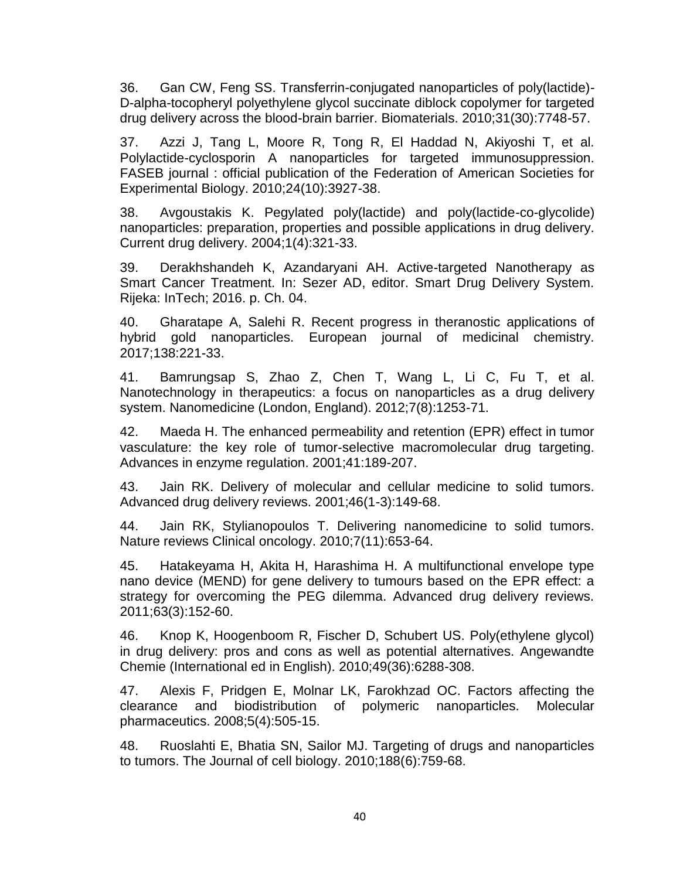36. Gan CW, Feng SS. Transferrin-conjugated nanoparticles of poly(lactide)- D-alpha-tocopheryl polyethylene glycol succinate diblock copolymer for targeted drug delivery across the blood-brain barrier. Biomaterials. 2010;31(30):7748-57.

37. Azzi J, Tang L, Moore R, Tong R, El Haddad N, Akiyoshi T, et al. Polylactide-cyclosporin A nanoparticles for targeted immunosuppression. FASEB journal : official publication of the Federation of American Societies for Experimental Biology. 2010;24(10):3927-38.

38. Avgoustakis K. Pegylated poly(lactide) and poly(lactide-co-glycolide) nanoparticles: preparation, properties and possible applications in drug delivery. Current drug delivery. 2004;1(4):321-33.

<span id="page-48-0"></span>39. Derakhshandeh K, Azandaryani AH. Active-targeted Nanotherapy as Smart Cancer Treatment. In: Sezer AD, editor. Smart Drug Delivery System. Rijeka: InTech; 2016. p. Ch. 04.

<span id="page-48-1"></span>40. Gharatape A, Salehi R. Recent progress in theranostic applications of hybrid gold nanoparticles. European journal of medicinal chemistry. 2017;138:221-33.

<span id="page-48-2"></span>41. Bamrungsap S, Zhao Z, Chen T, Wang L, Li C, Fu T, et al. Nanotechnology in therapeutics: a focus on nanoparticles as a drug delivery system. Nanomedicine (London, England). 2012;7(8):1253-71.

<span id="page-48-3"></span>42. Maeda H. The enhanced permeability and retention (EPR) effect in tumor vasculature: the key role of tumor-selective macromolecular drug targeting. Advances in enzyme regulation. 2001;41:189-207.

<span id="page-48-4"></span>43. Jain RK. Delivery of molecular and cellular medicine to solid tumors. Advanced drug delivery reviews. 2001;46(1-3):149-68.

<span id="page-48-5"></span>44. Jain RK, Stylianopoulos T. Delivering nanomedicine to solid tumors. Nature reviews Clinical oncology. 2010;7(11):653-64.

<span id="page-48-6"></span>45. Hatakeyama H, Akita H, Harashima H. A multifunctional envelope type nano device (MEND) for gene delivery to tumours based on the EPR effect: a strategy for overcoming the PEG dilemma. Advanced drug delivery reviews. 2011;63(3):152-60.

<span id="page-48-7"></span>46. Knop K, Hoogenboom R, Fischer D, Schubert US. Poly(ethylene glycol) in drug delivery: pros and cons as well as potential alternatives. Angewandte Chemie (International ed in English). 2010;49(36):6288-308.

<span id="page-48-8"></span>47. Alexis F, Pridgen E, Molnar LK, Farokhzad OC. Factors affecting the clearance and biodistribution of polymeric nanoparticles. Molecular pharmaceutics. 2008;5(4):505-15.

<span id="page-48-9"></span>48. Ruoslahti E, Bhatia SN, Sailor MJ. Targeting of drugs and nanoparticles to tumors. The Journal of cell biology. 2010;188(6):759-68.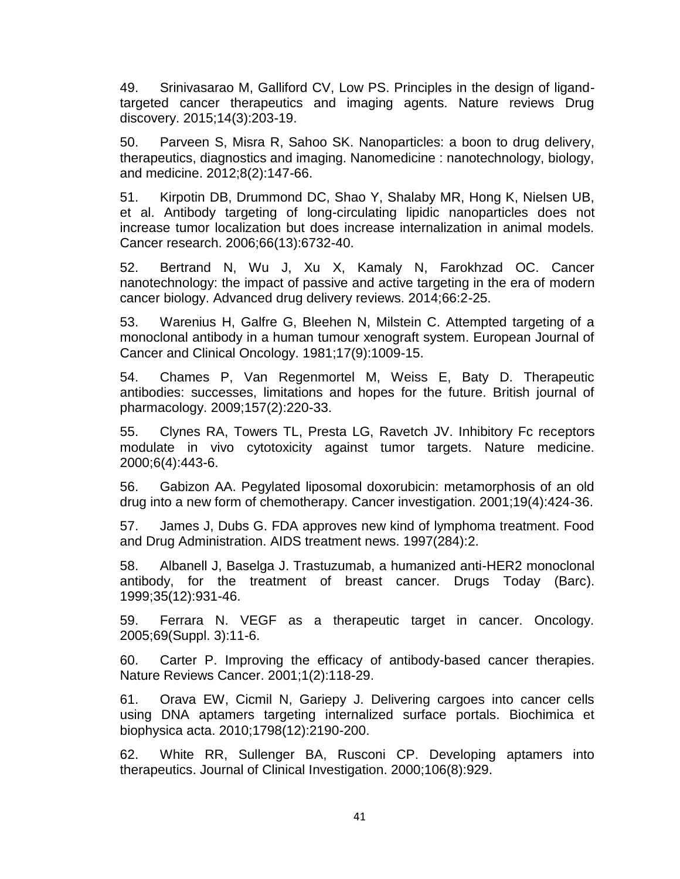<span id="page-49-0"></span>49. Srinivasarao M, Galliford CV, Low PS. Principles in the design of ligandtargeted cancer therapeutics and imaging agents. Nature reviews Drug discovery. 2015;14(3):203-19.

<span id="page-49-1"></span>50. Parveen S, Misra R, Sahoo SK. Nanoparticles: a boon to drug delivery, therapeutics, diagnostics and imaging. Nanomedicine : nanotechnology, biology, and medicine. 2012;8(2):147-66.

<span id="page-49-2"></span>51. Kirpotin DB, Drummond DC, Shao Y, Shalaby MR, Hong K, Nielsen UB, et al. Antibody targeting of long-circulating lipidic nanoparticles does not increase tumor localization but does increase internalization in animal models. Cancer research. 2006;66(13):6732-40.

<span id="page-49-3"></span>52. Bertrand N, Wu J, Xu X, Kamaly N, Farokhzad OC. Cancer nanotechnology: the impact of passive and active targeting in the era of modern cancer biology. Advanced drug delivery reviews. 2014;66:2-25.

<span id="page-49-4"></span>53. Warenius H, Galfre G, Bleehen N, Milstein C. Attempted targeting of a monoclonal antibody in a human tumour xenograft system. European Journal of Cancer and Clinical Oncology. 1981;17(9):1009-15.

<span id="page-49-5"></span>54. Chames P, Van Regenmortel M, Weiss E, Baty D. Therapeutic antibodies: successes, limitations and hopes for the future. British journal of pharmacology. 2009;157(2):220-33.

<span id="page-49-6"></span>55. Clynes RA, Towers TL, Presta LG, Ravetch JV. Inhibitory Fc receptors modulate in vivo cytotoxicity against tumor targets. Nature medicine. 2000;6(4):443-6.

<span id="page-49-7"></span>56. Gabizon AA. Pegylated liposomal doxorubicin: metamorphosis of an old drug into a new form of chemotherapy. Cancer investigation. 2001;19(4):424-36.

<span id="page-49-8"></span>57. James J, Dubs G. FDA approves new kind of lymphoma treatment. Food and Drug Administration. AIDS treatment news. 1997(284):2.

<span id="page-49-9"></span>58. Albanell J, Baselga J. Trastuzumab, a humanized anti-HER2 monoclonal antibody, for the treatment of breast cancer. Drugs Today (Barc). 1999;35(12):931-46.

<span id="page-49-10"></span>59. Ferrara N. VEGF as a therapeutic target in cancer. Oncology. 2005;69(Suppl. 3):11-6.

<span id="page-49-11"></span>60. Carter P. Improving the efficacy of antibody-based cancer therapies. Nature Reviews Cancer. 2001;1(2):118-29.

<span id="page-49-12"></span>61. Orava EW, Cicmil N, Gariepy J. Delivering cargoes into cancer cells using DNA aptamers targeting internalized surface portals. Biochimica et biophysica acta. 2010;1798(12):2190-200.

<span id="page-49-13"></span>62. White RR, Sullenger BA, Rusconi CP. Developing aptamers into therapeutics. Journal of Clinical Investigation. 2000;106(8):929.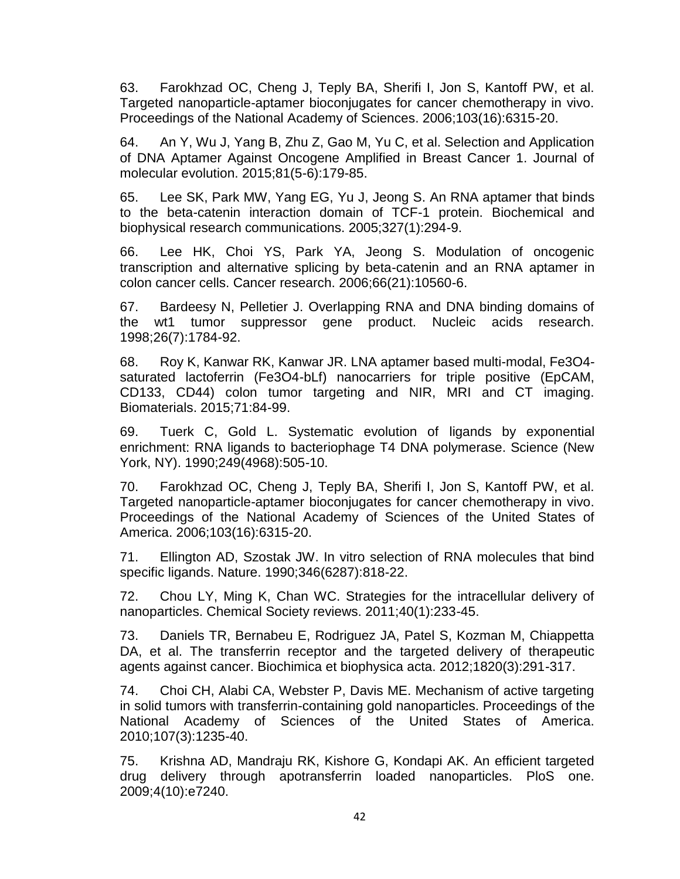<span id="page-50-0"></span>63. Farokhzad OC, Cheng J, Teply BA, Sherifi I, Jon S, Kantoff PW, et al. Targeted nanoparticle-aptamer bioconjugates for cancer chemotherapy in vivo. Proceedings of the National Academy of Sciences. 2006;103(16):6315-20.

<span id="page-50-1"></span>64. An Y, Wu J, Yang B, Zhu Z, Gao M, Yu C, et al. Selection and Application of DNA Aptamer Against Oncogene Amplified in Breast Cancer 1. Journal of molecular evolution. 2015;81(5-6):179-85.

<span id="page-50-2"></span>65. Lee SK, Park MW, Yang EG, Yu J, Jeong S. An RNA aptamer that binds to the beta-catenin interaction domain of TCF-1 protein. Biochemical and biophysical research communications. 2005;327(1):294-9.

66. Lee HK, Choi YS, Park YA, Jeong S. Modulation of oncogenic transcription and alternative splicing by beta-catenin and an RNA aptamer in colon cancer cells. Cancer research. 2006;66(21):10560-6.

67. Bardeesy N, Pelletier J. Overlapping RNA and DNA binding domains of the wt1 tumor suppressor gene product. Nucleic acids research. 1998;26(7):1784-92.

<span id="page-50-3"></span>68. Roy K, Kanwar RK, Kanwar JR. LNA aptamer based multi-modal, Fe3O4 saturated lactoferrin (Fe3O4-bLf) nanocarriers for triple positive (EpCAM, CD133, CD44) colon tumor targeting and NIR, MRI and CT imaging. Biomaterials. 2015;71:84-99.

<span id="page-50-4"></span>69. Tuerk C, Gold L. Systematic evolution of ligands by exponential enrichment: RNA ligands to bacteriophage T4 DNA polymerase. Science (New York, NY). 1990;249(4968):505-10.

70. Farokhzad OC, Cheng J, Teply BA, Sherifi I, Jon S, Kantoff PW, et al. Targeted nanoparticle-aptamer bioconjugates for cancer chemotherapy in vivo. Proceedings of the National Academy of Sciences of the United States of America. 2006;103(16):6315-20.

71. Ellington AD, Szostak JW. In vitro selection of RNA molecules that bind specific ligands. Nature. 1990;346(6287):818-22.

<span id="page-50-5"></span>72. Chou LY, Ming K, Chan WC. Strategies for the intracellular delivery of nanoparticles. Chemical Society reviews. 2011;40(1):233-45.

<span id="page-50-6"></span>73. Daniels TR, Bernabeu E, Rodriguez JA, Patel S, Kozman M, Chiappetta DA, et al. The transferrin receptor and the targeted delivery of therapeutic agents against cancer. Biochimica et biophysica acta. 2012;1820(3):291-317.

<span id="page-50-7"></span>74. Choi CH, Alabi CA, Webster P, Davis ME. Mechanism of active targeting in solid tumors with transferrin-containing gold nanoparticles. Proceedings of the National Academy of Sciences of the United States of America. 2010;107(3):1235-40.

<span id="page-50-8"></span>75. Krishna AD, Mandraju RK, Kishore G, Kondapi AK. An efficient targeted drug delivery through apotransferrin loaded nanoparticles. PloS one. 2009;4(10):e7240.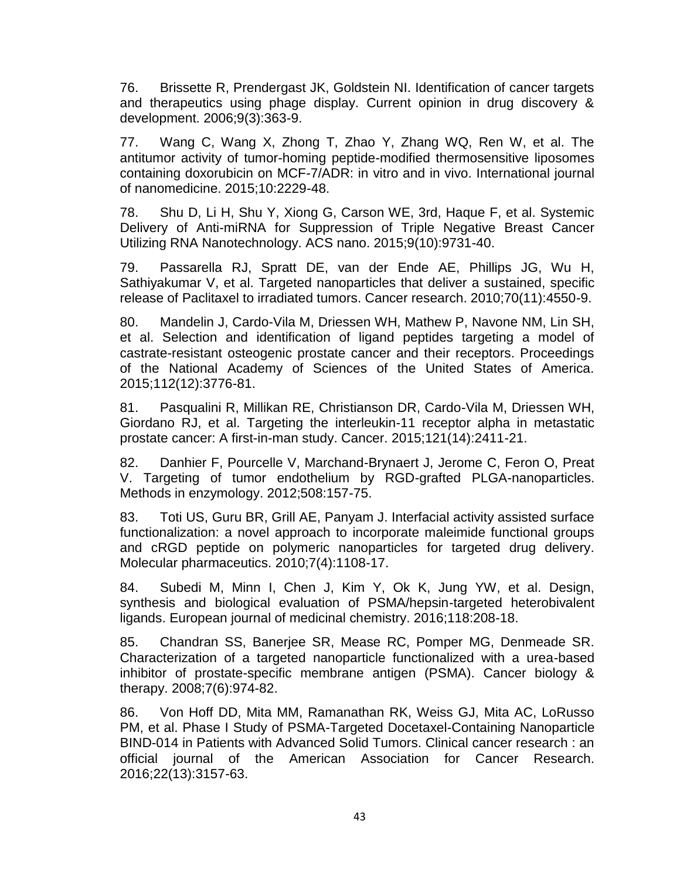<span id="page-51-0"></span>76. Brissette R, Prendergast JK, Goldstein NI. Identification of cancer targets and therapeutics using phage display. Current opinion in drug discovery & development. 2006;9(3):363-9.

<span id="page-51-1"></span>77. Wang C, Wang X, Zhong T, Zhao Y, Zhang WQ, Ren W, et al. The antitumor activity of tumor-homing peptide-modified thermosensitive liposomes containing doxorubicin on MCF-7/ADR: in vitro and in vivo. International journal of nanomedicine. 2015;10:2229-48.

<span id="page-51-2"></span>78. Shu D, Li H, Shu Y, Xiong G, Carson WE, 3rd, Haque F, et al. Systemic Delivery of Anti-miRNA for Suppression of Triple Negative Breast Cancer Utilizing RNA Nanotechnology. ACS nano. 2015;9(10):9731-40.

<span id="page-51-3"></span>79. Passarella RJ, Spratt DE, van der Ende AE, Phillips JG, Wu H, Sathiyakumar V, et al. Targeted nanoparticles that deliver a sustained, specific release of Paclitaxel to irradiated tumors. Cancer research. 2010;70(11):4550-9.

80. Mandelin J, Cardo-Vila M, Driessen WH, Mathew P, Navone NM, Lin SH, et al. Selection and identification of ligand peptides targeting a model of castrate-resistant osteogenic prostate cancer and their receptors. Proceedings of the National Academy of Sciences of the United States of America. 2015;112(12):3776-81.

81. Pasqualini R, Millikan RE, Christianson DR, Cardo-Vila M, Driessen WH, Giordano RJ, et al. Targeting the interleukin-11 receptor alpha in metastatic prostate cancer: A first-in-man study. Cancer. 2015;121(14):2411-21.

<span id="page-51-4"></span>82. Danhier F, Pourcelle V, Marchand-Brynaert J, Jerome C, Feron O, Preat V. Targeting of tumor endothelium by RGD-grafted PLGA-nanoparticles. Methods in enzymology. 2012;508:157-75.

<span id="page-51-5"></span>83. Toti US, Guru BR, Grill AE, Panyam J. Interfacial activity assisted surface functionalization: a novel approach to incorporate maleimide functional groups and cRGD peptide on polymeric nanoparticles for targeted drug delivery. Molecular pharmaceutics. 2010;7(4):1108-17.

<span id="page-51-6"></span>84. Subedi M, Minn I, Chen J, Kim Y, Ok K, Jung YW, et al. Design, synthesis and biological evaluation of PSMA/hepsin-targeted heterobivalent ligands. European journal of medicinal chemistry. 2016;118:208-18.

<span id="page-51-7"></span>85. Chandran SS, Banerjee SR, Mease RC, Pomper MG, Denmeade SR. Characterization of a targeted nanoparticle functionalized with a urea-based inhibitor of prostate-specific membrane antigen (PSMA). Cancer biology & therapy. 2008;7(6):974-82.

<span id="page-51-8"></span>86. Von Hoff DD, Mita MM, Ramanathan RK, Weiss GJ, Mita AC, LoRusso PM, et al. Phase I Study of PSMA-Targeted Docetaxel-Containing Nanoparticle BIND-014 in Patients with Advanced Solid Tumors. Clinical cancer research : an official journal of the American Association for Cancer Research. 2016;22(13):3157-63.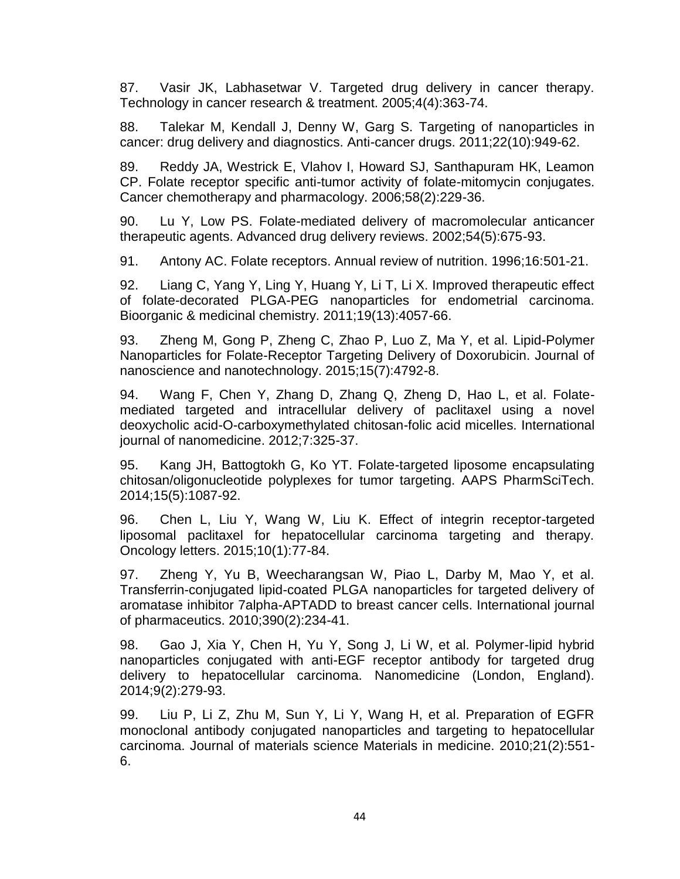<span id="page-52-0"></span>87. Vasir JK, Labhasetwar V. Targeted drug delivery in cancer therapy. Technology in cancer research & treatment. 2005;4(4):363-74.

<span id="page-52-1"></span>88. Talekar M, Kendall J, Denny W, Garg S. Targeting of nanoparticles in cancer: drug delivery and diagnostics. Anti-cancer drugs. 2011;22(10):949-62.

89. Reddy JA, Westrick E, Vlahov I, Howard SJ, Santhapuram HK, Leamon CP. Folate receptor specific anti-tumor activity of folate-mitomycin conjugates. Cancer chemotherapy and pharmacology. 2006;58(2):229-36.

90. Lu Y, Low PS. Folate-mediated delivery of macromolecular anticancer therapeutic agents. Advanced drug delivery reviews. 2002;54(5):675-93.

<span id="page-52-2"></span>91. Antony AC. Folate receptors. Annual review of nutrition. 1996;16:501-21.

<span id="page-52-3"></span>92. Liang C, Yang Y, Ling Y, Huang Y, Li T, Li X. Improved therapeutic effect of folate-decorated PLGA-PEG nanoparticles for endometrial carcinoma. Bioorganic & medicinal chemistry. 2011;19(13):4057-66.

<span id="page-52-4"></span>93. Zheng M, Gong P, Zheng C, Zhao P, Luo Z, Ma Y, et al. Lipid-Polymer Nanoparticles for Folate-Receptor Targeting Delivery of Doxorubicin. Journal of nanoscience and nanotechnology. 2015;15(7):4792-8.

<span id="page-52-5"></span>94. Wang F, Chen Y, Zhang D, Zhang Q, Zheng D, Hao L, et al. Folatemediated targeted and intracellular delivery of paclitaxel using a novel deoxycholic acid-O-carboxymethylated chitosan-folic acid micelles. International journal of nanomedicine. 2012;7:325-37.

<span id="page-52-6"></span>95. Kang JH, Battogtokh G, Ko YT. Folate-targeted liposome encapsulating chitosan/oligonucleotide polyplexes for tumor targeting. AAPS PharmSciTech. 2014;15(5):1087-92.

<span id="page-52-7"></span>96. Chen L, Liu Y, Wang W, Liu K. Effect of integrin receptor-targeted liposomal paclitaxel for hepatocellular carcinoma targeting and therapy. Oncology letters. 2015;10(1):77-84.

<span id="page-52-8"></span>97. Zheng Y, Yu B, Weecharangsan W, Piao L, Darby M, Mao Y, et al. Transferrin-conjugated lipid-coated PLGA nanoparticles for targeted delivery of aromatase inhibitor 7alpha-APTADD to breast cancer cells. International journal of pharmaceutics. 2010;390(2):234-41.

<span id="page-52-9"></span>98. Gao J, Xia Y, Chen H, Yu Y, Song J, Li W, et al. Polymer-lipid hybrid nanoparticles conjugated with anti-EGF receptor antibody for targeted drug delivery to hepatocellular carcinoma. Nanomedicine (London, England). 2014;9(2):279-93.

<span id="page-52-10"></span>99. Liu P, Li Z, Zhu M, Sun Y, Li Y, Wang H, et al. Preparation of EGFR monoclonal antibody conjugated nanoparticles and targeting to hepatocellular carcinoma. Journal of materials science Materials in medicine. 2010;21(2):551- 6.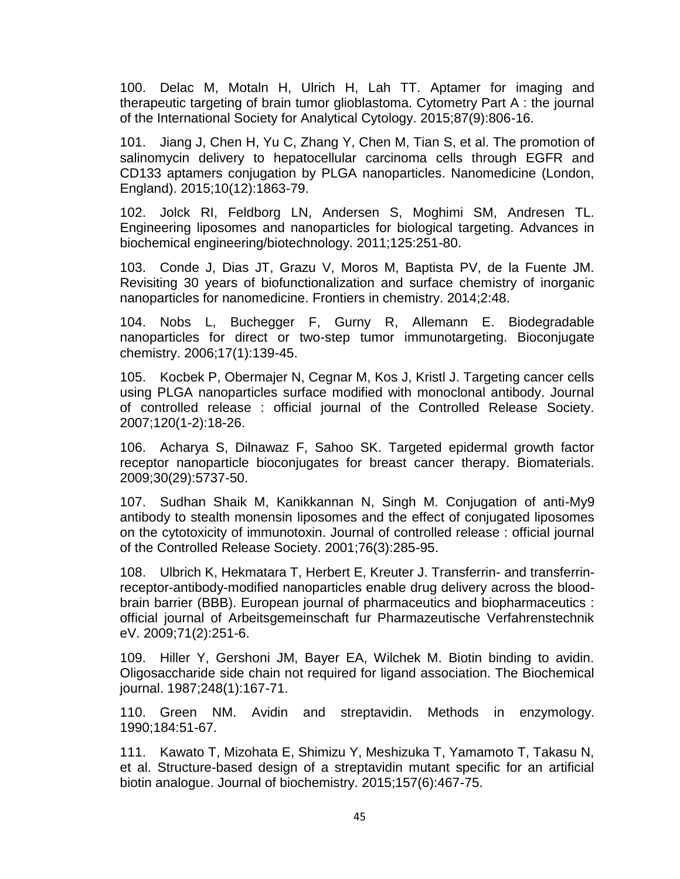<span id="page-53-0"></span>100. Delac M, Motaln H, Ulrich H, Lah TT. Aptamer for imaging and therapeutic targeting of brain tumor glioblastoma. Cytometry Part A : the journal of the International Society for Analytical Cytology. 2015;87(9):806-16.

<span id="page-53-1"></span>101. Jiang J, Chen H, Yu C, Zhang Y, Chen M, Tian S, et al. The promotion of salinomycin delivery to hepatocellular carcinoma cells through EGFR and CD133 aptamers conjugation by PLGA nanoparticles. Nanomedicine (London, England). 2015;10(12):1863-79.

<span id="page-53-2"></span>102. Jolck RI, Feldborg LN, Andersen S, Moghimi SM, Andresen TL. Engineering liposomes and nanoparticles for biological targeting. Advances in biochemical engineering/biotechnology. 2011;125:251-80.

<span id="page-53-3"></span>103. Conde J, Dias JT, Grazu V, Moros M, Baptista PV, de la Fuente JM. Revisiting 30 years of biofunctionalization and surface chemistry of inorganic nanoparticles for nanomedicine. Frontiers in chemistry. 2014;2:48.

<span id="page-53-4"></span>104. Nobs L, Buchegger F, Gurny R, Allemann E. Biodegradable nanoparticles for direct or two-step tumor immunotargeting. Bioconjugate chemistry. 2006;17(1):139-45.

<span id="page-53-5"></span>105. Kocbek P, Obermajer N, Cegnar M, Kos J, Kristl J. Targeting cancer cells using PLGA nanoparticles surface modified with monoclonal antibody. Journal of controlled release : official journal of the Controlled Release Society. 2007;120(1-2):18-26.

<span id="page-53-6"></span>106. Acharya S, Dilnawaz F, Sahoo SK. Targeted epidermal growth factor receptor nanoparticle bioconjugates for breast cancer therapy. Biomaterials. 2009;30(29):5737-50.

<span id="page-53-7"></span>107. Sudhan Shaik M, Kanikkannan N, Singh M. Conjugation of anti-My9 antibody to stealth monensin liposomes and the effect of conjugated liposomes on the cytotoxicity of immunotoxin. Journal of controlled release : official journal of the Controlled Release Society. 2001;76(3):285-95.

<span id="page-53-8"></span>108. Ulbrich K, Hekmatara T, Herbert E, Kreuter J. Transferrin- and transferrinreceptor-antibody-modified nanoparticles enable drug delivery across the bloodbrain barrier (BBB). European journal of pharmaceutics and biopharmaceutics : official journal of Arbeitsgemeinschaft fur Pharmazeutische Verfahrenstechnik eV. 2009;71(2):251-6.

<span id="page-53-9"></span>109. Hiller Y, Gershoni JM, Bayer EA, Wilchek M. Biotin binding to avidin. Oligosaccharide side chain not required for ligand association. The Biochemical journal. 1987;248(1):167-71.

<span id="page-53-10"></span>110. Green NM. Avidin and streptavidin. Methods in enzymology. 1990;184:51-67.

<span id="page-53-11"></span>111. Kawato T, Mizohata E, Shimizu Y, Meshizuka T, Yamamoto T, Takasu N, et al. Structure-based design of a streptavidin mutant specific for an artificial biotin analogue. Journal of biochemistry. 2015;157(6):467-75.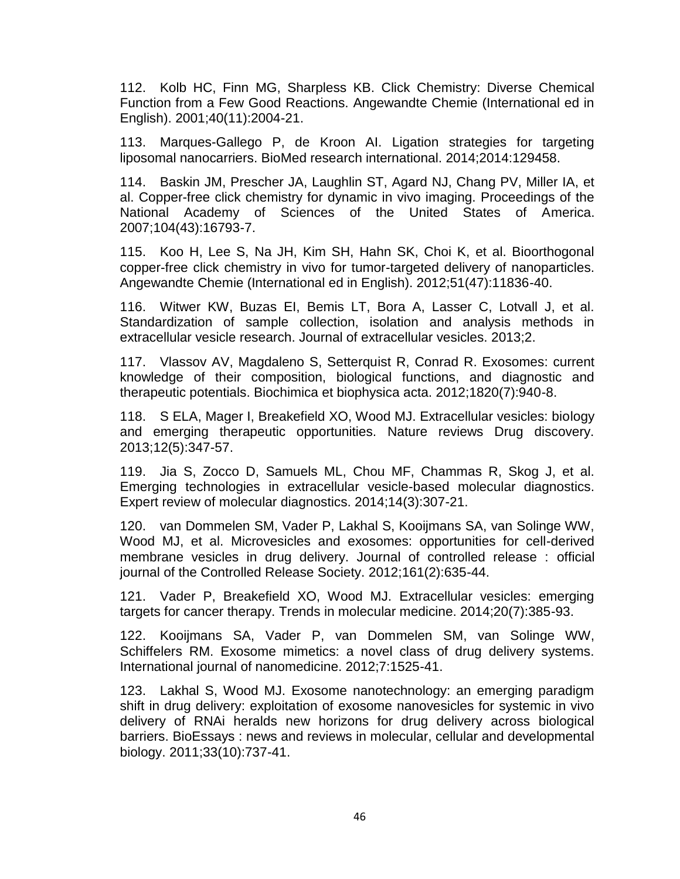<span id="page-54-0"></span>112. Kolb HC, Finn MG, Sharpless KB. Click Chemistry: Diverse Chemical Function from a Few Good Reactions. Angewandte Chemie (International ed in English). 2001;40(11):2004-21.

<span id="page-54-1"></span>113. Marques-Gallego P, de Kroon AI. Ligation strategies for targeting liposomal nanocarriers. BioMed research international. 2014;2014:129458.

<span id="page-54-2"></span>114. Baskin JM, Prescher JA, Laughlin ST, Agard NJ, Chang PV, Miller IA, et al. Copper-free click chemistry for dynamic in vivo imaging. Proceedings of the National Academy of Sciences of the United States of America. 2007;104(43):16793-7.

<span id="page-54-3"></span>115. Koo H, Lee S, Na JH, Kim SH, Hahn SK, Choi K, et al. Bioorthogonal copper-free click chemistry in vivo for tumor-targeted delivery of nanoparticles. Angewandte Chemie (International ed in English). 2012;51(47):11836-40.

<span id="page-54-4"></span>116. Witwer KW, Buzas EI, Bemis LT, Bora A, Lasser C, Lotvall J, et al. Standardization of sample collection, isolation and analysis methods in extracellular vesicle research. Journal of extracellular vesicles. 2013;2.

117. Vlassov AV, Magdaleno S, Setterquist R, Conrad R. Exosomes: current knowledge of their composition, biological functions, and diagnostic and therapeutic potentials. Biochimica et biophysica acta. 2012;1820(7):940-8.

<span id="page-54-5"></span>118. S ELA, Mager I, Breakefield XO, Wood MJ. Extracellular vesicles: biology and emerging therapeutic opportunities. Nature reviews Drug discovery. 2013;12(5):347-57.

119. Jia S, Zocco D, Samuels ML, Chou MF, Chammas R, Skog J, et al. Emerging technologies in extracellular vesicle-based molecular diagnostics. Expert review of molecular diagnostics. 2014;14(3):307-21.

<span id="page-54-6"></span>120. van Dommelen SM, Vader P, Lakhal S, Kooijmans SA, van Solinge WW, Wood MJ, et al. Microvesicles and exosomes: opportunities for cell-derived membrane vesicles in drug delivery. Journal of controlled release : official journal of the Controlled Release Society. 2012;161(2):635-44.

121. Vader P, Breakefield XO, Wood MJ. Extracellular vesicles: emerging targets for cancer therapy. Trends in molecular medicine. 2014;20(7):385-93.

122. Kooijmans SA, Vader P, van Dommelen SM, van Solinge WW, Schiffelers RM. Exosome mimetics: a novel class of drug delivery systems. International journal of nanomedicine. 2012;7:1525-41.

<span id="page-54-7"></span>123. Lakhal S, Wood MJ. Exosome nanotechnology: an emerging paradigm shift in drug delivery: exploitation of exosome nanovesicles for systemic in vivo delivery of RNAi heralds new horizons for drug delivery across biological barriers. BioEssays : news and reviews in molecular, cellular and developmental biology. 2011;33(10):737-41.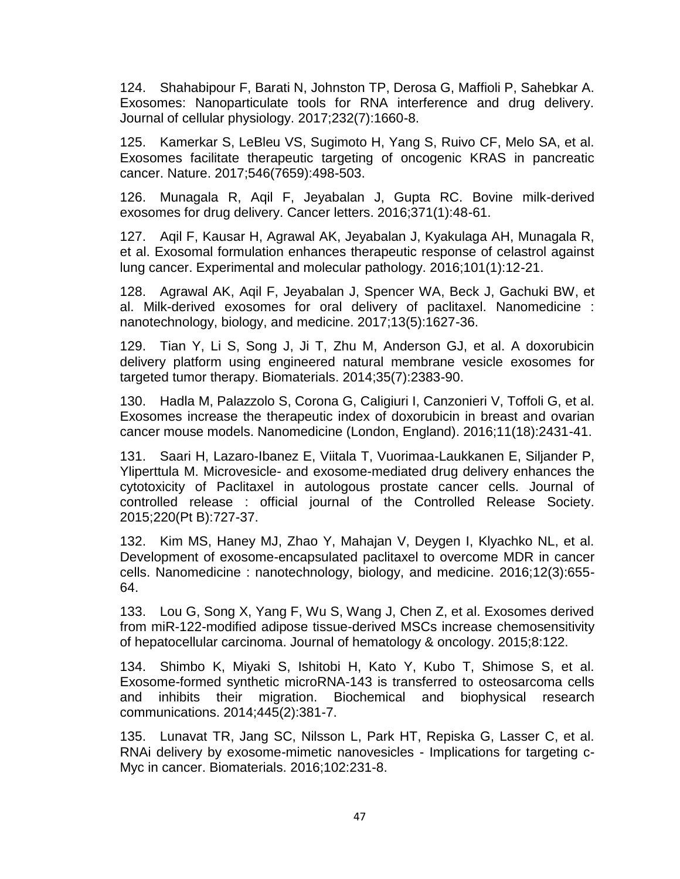124. Shahabipour F, Barati N, Johnston TP, Derosa G, Maffioli P, Sahebkar A. Exosomes: Nanoparticulate tools for RNA interference and drug delivery. Journal of cellular physiology. 2017;232(7):1660-8.

125. Kamerkar S, LeBleu VS, Sugimoto H, Yang S, Ruivo CF, Melo SA, et al. Exosomes facilitate therapeutic targeting of oncogenic KRAS in pancreatic cancer. Nature. 2017;546(7659):498-503.

<span id="page-55-0"></span>126. Munagala R, Aqil F, Jeyabalan J, Gupta RC. Bovine milk-derived exosomes for drug delivery. Cancer letters. 2016;371(1):48-61.

<span id="page-55-1"></span>127. Aqil F, Kausar H, Agrawal AK, Jeyabalan J, Kyakulaga AH, Munagala R, et al. Exosomal formulation enhances therapeutic response of celastrol against lung cancer. Experimental and molecular pathology. 2016;101(1):12-21.

<span id="page-55-2"></span>128. Agrawal AK, Aqil F, Jeyabalan J, Spencer WA, Beck J, Gachuki BW, et al. Milk-derived exosomes for oral delivery of paclitaxel. Nanomedicine : nanotechnology, biology, and medicine. 2017;13(5):1627-36.

<span id="page-55-3"></span>129. Tian Y, Li S, Song J, Ji T, Zhu M, Anderson GJ, et al. A doxorubicin delivery platform using engineered natural membrane vesicle exosomes for targeted tumor therapy. Biomaterials. 2014;35(7):2383-90.

<span id="page-55-4"></span>130. Hadla M, Palazzolo S, Corona G, Caligiuri I, Canzonieri V, Toffoli G, et al. Exosomes increase the therapeutic index of doxorubicin in breast and ovarian cancer mouse models. Nanomedicine (London, England). 2016;11(18):2431-41.

<span id="page-55-5"></span>131. Saari H, Lazaro-Ibanez E, Viitala T, Vuorimaa-Laukkanen E, Siljander P, Yliperttula M. Microvesicle- and exosome-mediated drug delivery enhances the cytotoxicity of Paclitaxel in autologous prostate cancer cells. Journal of controlled release : official journal of the Controlled Release Society. 2015;220(Pt B):727-37.

<span id="page-55-6"></span>132. Kim MS, Haney MJ, Zhao Y, Mahajan V, Deygen I, Klyachko NL, et al. Development of exosome-encapsulated paclitaxel to overcome MDR in cancer cells. Nanomedicine : nanotechnology, biology, and medicine. 2016;12(3):655- 64.

<span id="page-55-7"></span>133. Lou G, Song X, Yang F, Wu S, Wang J, Chen Z, et al. Exosomes derived from miR-122-modified adipose tissue-derived MSCs increase chemosensitivity of hepatocellular carcinoma. Journal of hematology & oncology. 2015;8:122.

<span id="page-55-8"></span>134. Shimbo K, Miyaki S, Ishitobi H, Kato Y, Kubo T, Shimose S, et al. Exosome-formed synthetic microRNA-143 is transferred to osteosarcoma cells and inhibits their migration. Biochemical and biophysical research communications. 2014;445(2):381-7.

<span id="page-55-9"></span>135. Lunavat TR, Jang SC, Nilsson L, Park HT, Repiska G, Lasser C, et al. RNAi delivery by exosome-mimetic nanovesicles - Implications for targeting c-Myc in cancer. Biomaterials. 2016;102:231-8.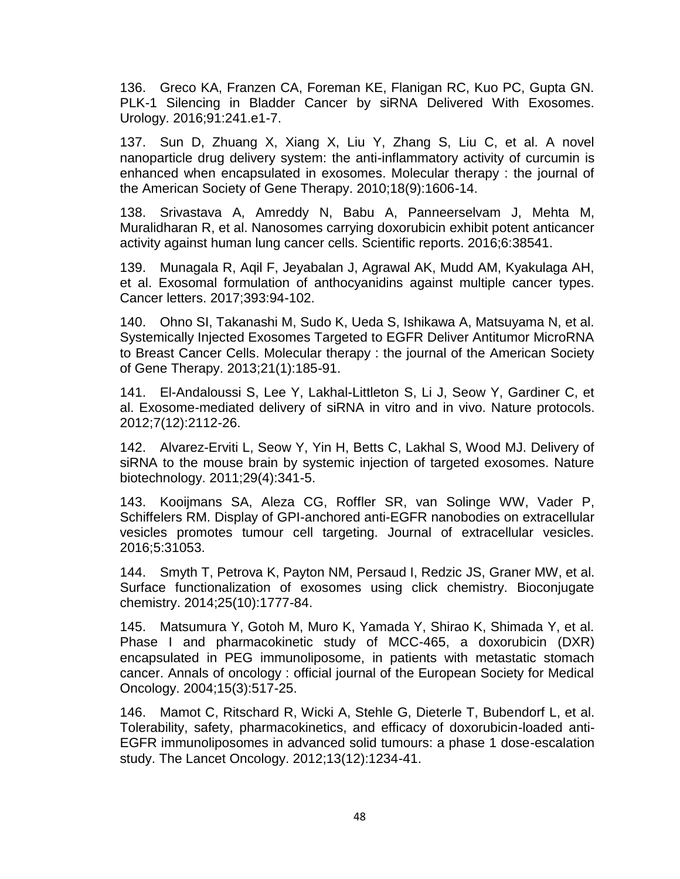<span id="page-56-0"></span>136. Greco KA, Franzen CA, Foreman KE, Flanigan RC, Kuo PC, Gupta GN. PLK-1 Silencing in Bladder Cancer by siRNA Delivered With Exosomes. Urology. 2016;91:241.e1-7.

<span id="page-56-1"></span>137. Sun D, Zhuang X, Xiang X, Liu Y, Zhang S, Liu C, et al. A novel nanoparticle drug delivery system: the anti-inflammatory activity of curcumin is enhanced when encapsulated in exosomes. Molecular therapy : the journal of the American Society of Gene Therapy. 2010;18(9):1606-14.

<span id="page-56-2"></span>138. Srivastava A, Amreddy N, Babu A, Panneerselvam J, Mehta M, Muralidharan R, et al. Nanosomes carrying doxorubicin exhibit potent anticancer activity against human lung cancer cells. Scientific reports. 2016;6:38541.

<span id="page-56-3"></span>139. Munagala R, Aqil F, Jeyabalan J, Agrawal AK, Mudd AM, Kyakulaga AH, et al. Exosomal formulation of anthocyanidins against multiple cancer types. Cancer letters. 2017;393:94-102.

<span id="page-56-4"></span>140. Ohno SI, Takanashi M, Sudo K, Ueda S, Ishikawa A, Matsuyama N, et al. Systemically Injected Exosomes Targeted to EGFR Deliver Antitumor MicroRNA to Breast Cancer Cells. Molecular therapy : the journal of the American Society of Gene Therapy. 2013;21(1):185-91.

<span id="page-56-5"></span>141. El-Andaloussi S, Lee Y, Lakhal-Littleton S, Li J, Seow Y, Gardiner C, et al. Exosome-mediated delivery of siRNA in vitro and in vivo. Nature protocols. 2012;7(12):2112-26.

<span id="page-56-6"></span>142. Alvarez-Erviti L, Seow Y, Yin H, Betts C, Lakhal S, Wood MJ. Delivery of siRNA to the mouse brain by systemic injection of targeted exosomes. Nature biotechnology. 2011;29(4):341-5.

<span id="page-56-7"></span>143. Kooijmans SA, Aleza CG, Roffler SR, van Solinge WW, Vader P, Schiffelers RM. Display of GPI-anchored anti-EGFR nanobodies on extracellular vesicles promotes tumour cell targeting. Journal of extracellular vesicles. 2016;5:31053.

<span id="page-56-8"></span>144. Smyth T, Petrova K, Payton NM, Persaud I, Redzic JS, Graner MW, et al. Surface functionalization of exosomes using click chemistry. Bioconjugate chemistry. 2014;25(10):1777-84.

<span id="page-56-9"></span>145. Matsumura Y, Gotoh M, Muro K, Yamada Y, Shirao K, Shimada Y, et al. Phase I and pharmacokinetic study of MCC-465, a doxorubicin (DXR) encapsulated in PEG immunoliposome, in patients with metastatic stomach cancer. Annals of oncology : official journal of the European Society for Medical Oncology. 2004;15(3):517-25.

<span id="page-56-10"></span>146. Mamot C, Ritschard R, Wicki A, Stehle G, Dieterle T, Bubendorf L, et al. Tolerability, safety, pharmacokinetics, and efficacy of doxorubicin-loaded anti-EGFR immunoliposomes in advanced solid tumours: a phase 1 dose-escalation study. The Lancet Oncology. 2012;13(12):1234-41.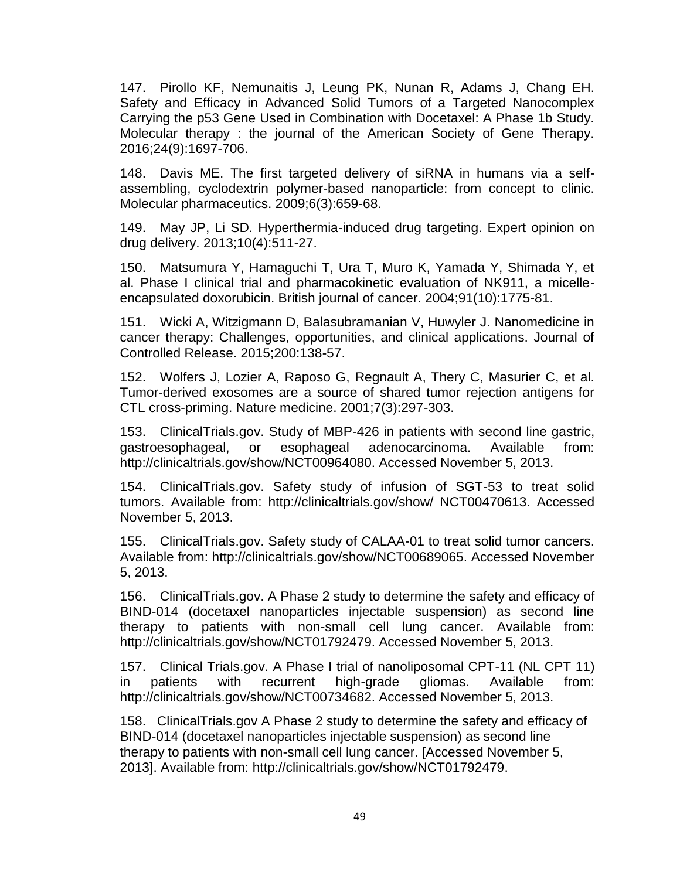<span id="page-57-0"></span>147. Pirollo KF, Nemunaitis J, Leung PK, Nunan R, Adams J, Chang EH. Safety and Efficacy in Advanced Solid Tumors of a Targeted Nanocomplex Carrying the p53 Gene Used in Combination with Docetaxel: A Phase 1b Study. Molecular therapy : the journal of the American Society of Gene Therapy. 2016;24(9):1697-706.

<span id="page-57-1"></span>148. Davis ME. The first targeted delivery of siRNA in humans via a selfassembling, cyclodextrin polymer-based nanoparticle: from concept to clinic. Molecular pharmaceutics. 2009;6(3):659-68.

<span id="page-57-2"></span>149. May JP, Li SD. Hyperthermia-induced drug targeting. Expert opinion on drug delivery. 2013;10(4):511-27.

<span id="page-57-3"></span>150. Matsumura Y, Hamaguchi T, Ura T, Muro K, Yamada Y, Shimada Y, et al. Phase I clinical trial and pharmacokinetic evaluation of NK911, a micelleencapsulated doxorubicin. British journal of cancer. 2004;91(10):1775-81.

<span id="page-57-4"></span>151. Wicki A, Witzigmann D, Balasubramanian V, Huwyler J. Nanomedicine in cancer therapy: Challenges, opportunities, and clinical applications. Journal of Controlled Release. 2015;200:138-57.

<span id="page-57-5"></span>152. Wolfers J, Lozier A, Raposo G, Regnault A, Thery C, Masurier C, et al. Tumor-derived exosomes are a source of shared tumor rejection antigens for CTL cross-priming. Nature medicine. 2001;7(3):297-303.

153. ClinicalTrials.gov. Study of MBP-426 in patients with second line gastric, gastroesophageal, or esophageal adenocarcinoma. Available from: http://clinicaltrials.gov/show/NCT00964080. Accessed November 5, 2013.

154. ClinicalTrials.gov. Safety study of infusion of SGT-53 to treat solid tumors. Available from: http://clinicaltrials.gov/show/ NCT00470613. Accessed November 5, 2013.

155. ClinicalTrials.gov. Safety study of CALAA-01 to treat solid tumor cancers. Available from: http://clinicaltrials.gov/show/NCT00689065. Accessed November 5, 2013.

156. ClinicalTrials.gov. A Phase 2 study to determine the safety and efficacy of BIND-014 (docetaxel nanoparticles injectable suspension) as second line therapy to patients with non-small cell lung cancer. Available from: http://clinicaltrials.gov/show/NCT01792479. Accessed November 5, 2013.

157. Clinical Trials.gov. A Phase I trial of nanoliposomal CPT-11 (NL CPT 11) in patients with recurrent high-grade gliomas. Available from: http://clinicaltrials.gov/show/NCT00734682. Accessed November 5, 2013.

158. ClinicalTrials.gov A Phase 2 study to determine the safety and efficacy of BIND-014 (docetaxel nanoparticles injectable suspension) as second line therapy to patients with non-small cell lung cancer. [Accessed November 5, 2013]. Available from: [http://clinicaltrials.gov/show/NCT01792479.](http://clinicaltrials.gov/show/NCT01792479)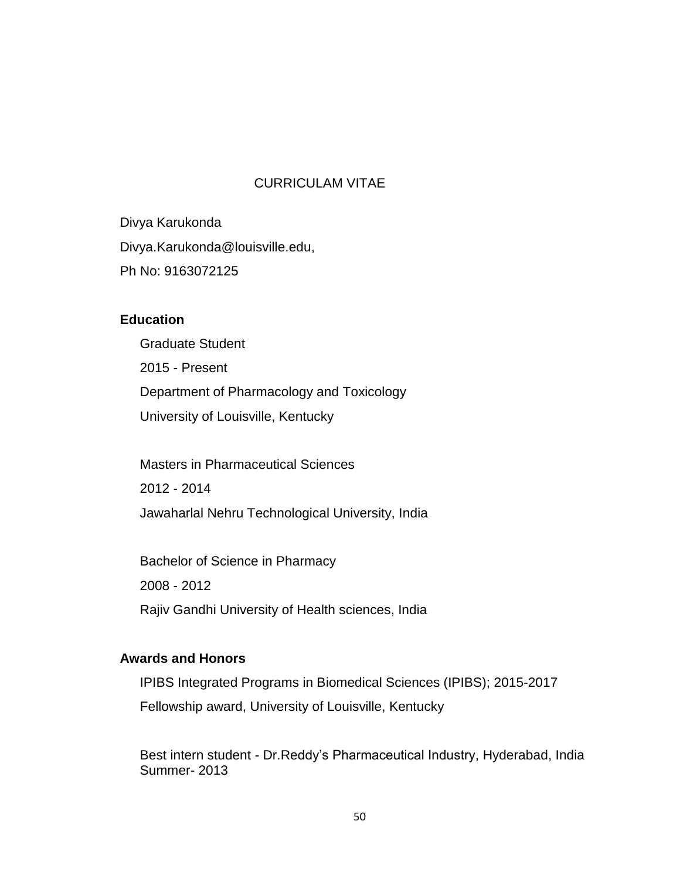## CURRICULAM VITAE

Divya Karukonda Divya.Karukonda@louisville.edu, Ph No: 9163072125

# **Education**

Graduate Student 2015 - Present Department of Pharmacology and Toxicology University of Louisville, Kentucky

Masters in Pharmaceutical Sciences 2012 - 2014 Jawaharlal Nehru Technological University, India

Bachelor of Science in Pharmacy 2008 - 2012 Rajiv Gandhi University of Health sciences, India

## **Awards and Honors**

IPIBS Integrated Programs in Biomedical Sciences (IPIBS); 2015-2017 Fellowship award, University of Louisville, Kentucky

Best intern student - Dr.Reddy's Pharmaceutical Industry, Hyderabad, India Summer- 2013